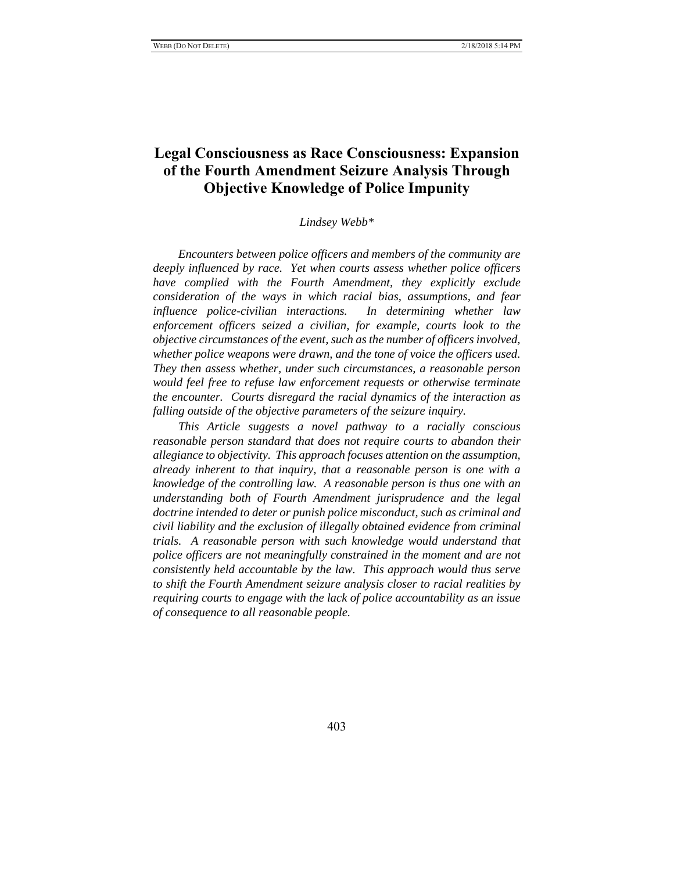# **Legal Consciousness as Race Consciousness: Expansion of the Fourth Amendment Seizure Analysis Through Objective Knowledge of Police Impunity**

#### *Lindsey Webb\**

*Encounters between police officers and members of the community are deeply influenced by race. Yet when courts assess whether police officers have complied with the Fourth Amendment, they explicitly exclude consideration of the ways in which racial bias, assumptions, and fear influence police-civilian interactions. In determining whether law*  enforcement officers seized a civilian, for example, courts look to the *objective circumstances of the event, such as the number of officers involved, whether police weapons were drawn, and the tone of voice the officers used. They then assess whether, under such circumstances, a reasonable person would feel free to refuse law enforcement requests or otherwise terminate the encounter. Courts disregard the racial dynamics of the interaction as falling outside of the objective parameters of the seizure inquiry.*

*This Article suggests a novel pathway to a racially conscious reasonable person standard that does not require courts to abandon their allegiance to objectivity. This approach focuses attention on the assumption, already inherent to that inquiry, that a reasonable person is one with a knowledge of the controlling law. A reasonable person is thus one with an understanding both of Fourth Amendment jurisprudence and the legal doctrine intended to deter or punish police misconduct, such as criminal and civil liability and the exclusion of illegally obtained evidence from criminal trials. A reasonable person with such knowledge would understand that*  police officers are not meaningfully constrained in the moment and are not *consistently held accountable by the law. This approach would thus serve to shift the Fourth Amendment seizure analysis closer to racial realities by requiring courts to engage with the lack of police accountability as an issue of consequence to all reasonable people.*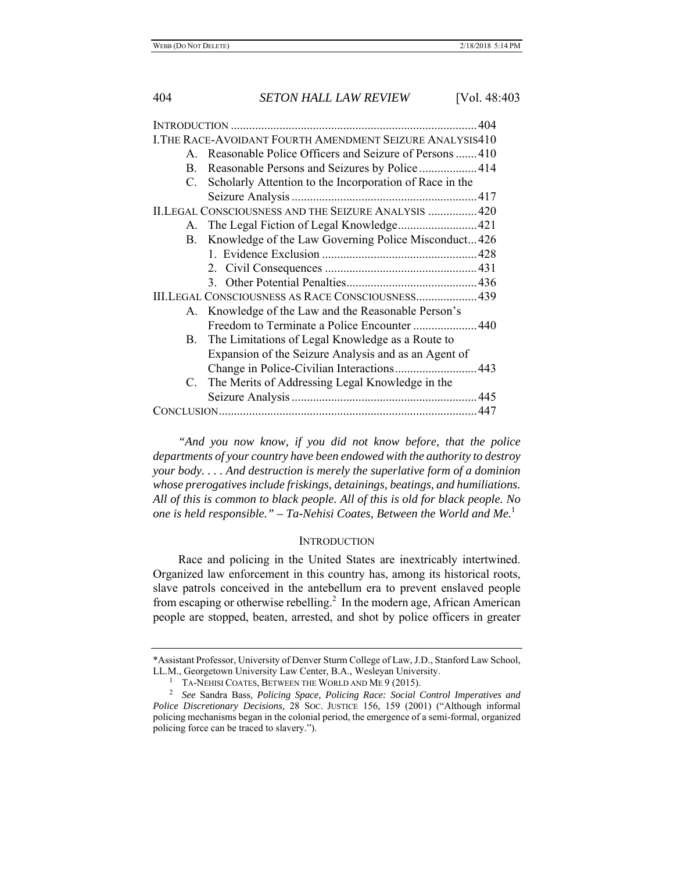| I. THE RACE-AVOIDANT FOURTH AMENDMENT SEIZURE ANALYSIS410 |                                                         |  |
|-----------------------------------------------------------|---------------------------------------------------------|--|
| $A_{-}$                                                   | Reasonable Police Officers and Seizure of Persons 410   |  |
| B.                                                        | Reasonable Persons and Seizures by Police  414          |  |
| C.                                                        | Scholarly Attention to the Incorporation of Race in the |  |
|                                                           |                                                         |  |
|                                                           | II.LEGAL CONSCIOUSNESS AND THE SEIZURE ANALYSIS  420    |  |
|                                                           |                                                         |  |
|                                                           | B. Knowledge of the Law Governing Police Misconduct426  |  |
|                                                           |                                                         |  |
|                                                           |                                                         |  |
|                                                           |                                                         |  |
|                                                           | III.LEGAL CONSCIOUSNESS AS RACE CONSCIOUSNESS 439       |  |
|                                                           | A. Knowledge of the Law and the Reasonable Person's     |  |
|                                                           | Freedom to Terminate a Police Encounter 440             |  |
| В.                                                        | The Limitations of Legal Knowledge as a Route to        |  |
|                                                           | Expansion of the Seizure Analysis and as an Agent of    |  |
|                                                           | Change in Police-Civilian Interactions 443              |  |
|                                                           | C. The Merits of Addressing Legal Knowledge in the      |  |
|                                                           |                                                         |  |
|                                                           |                                                         |  |

*"And you now know, if you did not know before, that the police departments of your country have been endowed with the authority to destroy your body. . . . And destruction is merely the superlative form of a dominion whose prerogatives include friskings, detainings, beatings, and humiliations. All of this is common to black people. All of this is old for black people. No one is held responsible." – Ta-Nehisi Coates, Between the World and Me.*<sup>1</sup>

#### **INTRODUCTION**

Race and policing in the United States are inextricably intertwined. Organized law enforcement in this country has, among its historical roots, slave patrols conceived in the antebellum era to prevent enslaved people from escaping or otherwise rebelling.<sup>2</sup> In the modern age, African American people are stopped, beaten, arrested, and shot by police officers in greater

<sup>\*</sup>Assistant Professor, University of Denver Sturm College of Law, J.D., Stanford Law School, LL.M., Georgetown University Law Center, B.A., Wesleyan University.

<sup>&</sup>lt;sup>1</sup> TA-NEHISI COATES, BETWEEN THE WORLD AND ME 9 (2015).

*See* Sandra Bass, *Policing Space, Policing Race: Social Control Imperatives and Police Discretionary Decisions,* 28 SOC. JUSTICE 156, 159 (2001) ("Although informal policing mechanisms began in the colonial period, the emergence of a semi-formal, organized policing force can be traced to slavery.").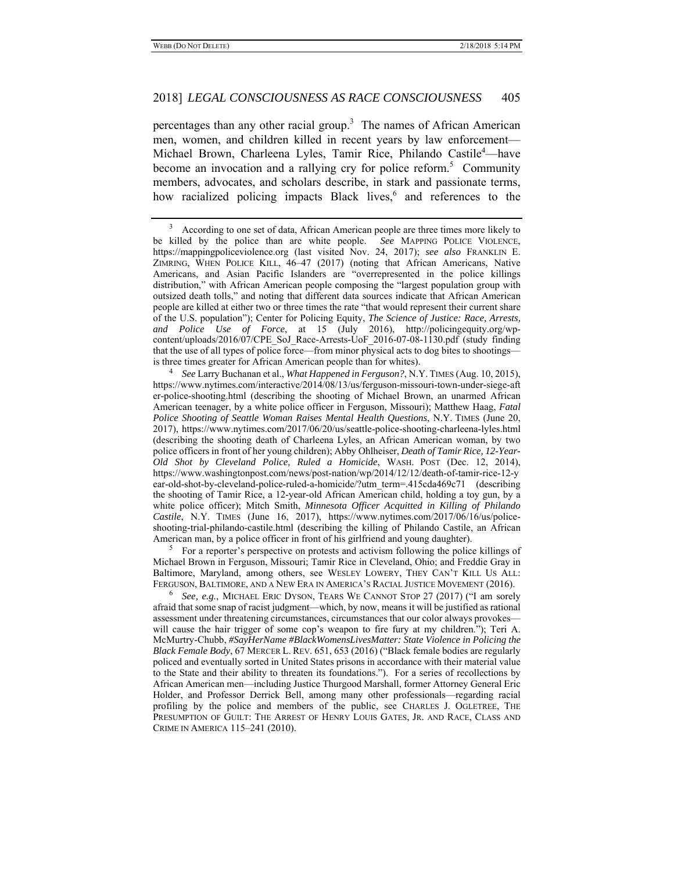percentages than any other racial group.<sup>3</sup> The names of African American men, women, and children killed in recent years by law enforcement— Michael Brown, Charleena Lyles, Tamir Rice, Philando Castile<sup>4</sup>—have become an invocation and a rallying cry for police reform.<sup>5</sup> Community members, advocates, and scholars describe, in stark and passionate terms, how racialized policing impacts Black lives,<sup>6</sup> and references to the

 *See* Larry Buchanan et al., *What Happened in Ferguson?*, N.Y. TIMES (Aug. 10, 2015), https://www.nytimes.com/interactive/2014/08/13/us/ferguson-missouri-town-under-siege-aft er-police-shooting.html (describing the shooting of Michael Brown, an unarmed African American teenager, by a white police officer in Ferguson, Missouri); Matthew Haag, *Fatal Police Shooting of Seattle Woman Raises Mental Health Questions*, N.Y. TIMES (June 20, 2017), https://www.nytimes.com/2017/06/20/us/seattle-police-shooting-charleena-lyles.html (describing the shooting death of Charleena Lyles, an African American woman, by two police officers in front of her young children); Abby Ohlheiser, *Death of Tamir Rice, 12-Year-Old Shot by Cleveland Police, Ruled a Homicide*, WASH. POST (Dec. 12, 2014), https://www.washingtonpost.com/news/post-nation/wp/2014/12/12/death-of-tamir-rice-12-y ear-old-shot-by-cleveland-police-ruled-a-homicide/?utm\_term=.415cda469c71 (describing the shooting of Tamir Rice, a 12-year-old African American child, holding a toy gun, by a white police officer); Mitch Smith, *Minnesota Officer Acquitted in Killing of Philando Castile*, N.Y. TIMES (June 16, 2017), https://www.nytimes.com/2017/06/16/us/policeshooting-trial-philando-castile.html (describing the killing of Philando Castile, an African American man, by a police officer in front of his girlfriend and young daughter).

<sup>5</sup> For a reporter's perspective on protests and activism following the police killings of Michael Brown in Ferguson, Missouri; Tamir Rice in Cleveland, Ohio; and Freddie Gray in Baltimore, Maryland, among others, see WESLEY LOWERY, THEY CAN'T KILL US ALL: FERGUSON, BALTIMORE, AND A NEW ERA IN AMERICA'S RACIAL JUSTICE MOVEMENT (2016).

6 *See, e.g.*, MICHAEL ERIC DYSON, TEARS WE CANNOT STOP 27 (2017) ("I am sorely afraid that some snap of racist judgment—which, by now, means it will be justified as rational assessment under threatening circumstances, circumstances that our color always provokes will cause the hair trigger of some cop's weapon to fire fury at my children."); Teri A. McMurtry-Chubb, *#SayHerName #BlackWomensLivesMatter: State Violence in Policing the Black Female Body*, 67 MERCER L. REV. 651, 653 (2016) ("Black female bodies are regularly policed and eventually sorted in United States prisons in accordance with their material value to the State and their ability to threaten its foundations."). For a series of recollections by African American men—including Justice Thurgood Marshall, former Attorney General Eric Holder, and Professor Derrick Bell, among many other professionals—regarding racial profiling by the police and members of the public, see CHARLES J. OGLETREE, THE PRESUMPTION OF GUILT: THE ARREST OF HENRY LOUIS GATES, JR. AND RACE, CLASS AND CRIME IN AMERICA 115–241 (2010).

<sup>3</sup> According to one set of data, African American people are three times more likely to be killed by the police than are white people. *See* MAPPING POLICE VIOLENCE, https://mappingpoliceviolence.org (last visited Nov. 24, 2017); *see also* FRANKLIN E. ZIMRING, WHEN POLICE KILL, 46–47 (2017) (noting that African Americans, Native Americans, and Asian Pacific Islanders are "overrepresented in the police killings distribution," with African American people composing the "largest population group with outsized death tolls," and noting that different data sources indicate that African American people are killed at either two or three times the rate "that would represent their current share of the U.S. population"); Center for Policing Equity, *The Science of Justice: Race, Arrests, and Police Use of Force*, at 15 (July 2016), http://policingequity.org/wpcontent/uploads/2016/07/CPE\_SoJ\_Race-Arrests-UoF\_2016-07-08-1130.pdf (study finding that the use of all types of police force—from minor physical acts to dog bites to shootings is three times greater for African American people than for whites). 4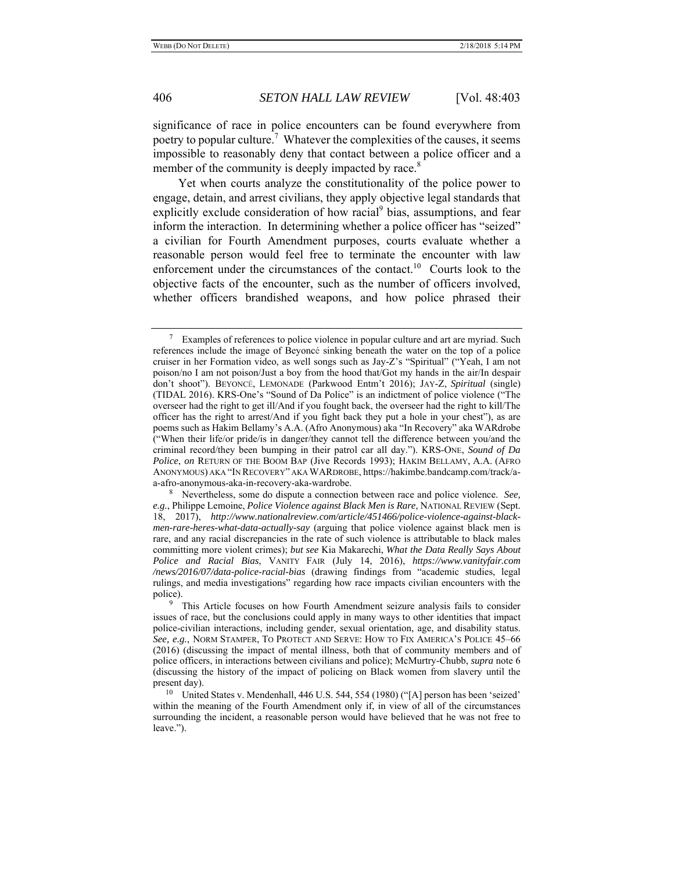significance of race in police encounters can be found everywhere from poetry to popular culture.<sup>7</sup> Whatever the complexities of the causes, it seems impossible to reasonably deny that contact between a police officer and a member of the community is deeply impacted by race.<sup>8</sup>

Yet when courts analyze the constitutionality of the police power to engage, detain, and arrest civilians, they apply objective legal standards that explicitly exclude consideration of how racial<sup>9</sup> bias, assumptions, and fear inform the interaction. In determining whether a police officer has "seized" a civilian for Fourth Amendment purposes, courts evaluate whether a reasonable person would feel free to terminate the encounter with law enforcement under the circumstances of the contact.<sup>10</sup> Courts look to the objective facts of the encounter, such as the number of officers involved, whether officers brandished weapons, and how police phrased their

<sup>7</sup> Examples of references to police violence in popular culture and art are myriad. Such references include the image of Beyoncé sinking beneath the water on the top of a police cruiser in her Formation video, as well songs such as Jay-Z's "Spiritual" ("Yeah, I am not poison/no I am not poison/Just a boy from the hood that/Got my hands in the air/In despair don't shoot"). BEYONCÉ, LEMONADE (Parkwood Entm't 2016); JAY-Z, *Spiritual* (single) (TIDAL 2016). KRS-One's "Sound of Da Police" is an indictment of police violence ("The overseer had the right to get ill/And if you fought back, the overseer had the right to kill/The officer has the right to arrest/And if you fight back they put a hole in your chest"), as are poems such as Hakim Bellamy's A.A. (Afro Anonymous) aka "In Recovery" aka WARdrobe ("When their life/or pride/is in danger/they cannot tell the difference between you/and the criminal record/they been bumping in their patrol car all day."). KRS-ONE, *Sound of Da Police*, *on* RETURN OF THE BOOM BAP (Jive Records 1993); HAKIM BELLAMY, A.A. (AFRO ANONYMOUS) AKA "IN RECOVERY" AKA WARDROBE, https://hakimbe.bandcamp.com/track/aa-afro-anonymous-aka-in-recovery-aka-wardrobe.

<sup>8</sup> Nevertheless, some do dispute a connection between race and police violence. *See, e.g.*, Philippe Lemoine, *Police Violence against Black Men is Rare*, NATIONAL REVIEW (Sept. 18, 2017), *http://www.nationalreview.com/article/451466/police-violence-against-blackmen-rare-heres-what-data-actually-say* (arguing that police violence against black men is rare, and any racial discrepancies in the rate of such violence is attributable to black males committing more violent crimes); *but see* Kia Makarechi, *What the Data Really Says About Police and Racial Bias*, VANITY FAIR (July 14, 2016), *https://www.vanityfair.com /news/2016/07/data-police-racial-bias* (drawing findings from "academic studies, legal rulings, and media investigations" regarding how race impacts civilian encounters with the police).

<sup>9</sup> This Article focuses on how Fourth Amendment seizure analysis fails to consider issues of race, but the conclusions could apply in many ways to other identities that impact police-civilian interactions, including gender, sexual orientation, age, and disability status. *See, e.g.*, NORM STAMPER, TO PROTECT AND SERVE: HOW TO FIX AMERICA'S POLICE 45–66 (2016) (discussing the impact of mental illness, both that of community members and of police officers, in interactions between civilians and police); McMurtry-Chubb, *supra* note 6 (discussing the history of the impact of policing on Black women from slavery until the present day).

<sup>&</sup>lt;sup>10</sup> United States v. Mendenhall, 446 U.S. 544, 554 (1980) ("[A] person has been 'seized' within the meaning of the Fourth Amendment only if, in view of all of the circumstances surrounding the incident, a reasonable person would have believed that he was not free to leave.").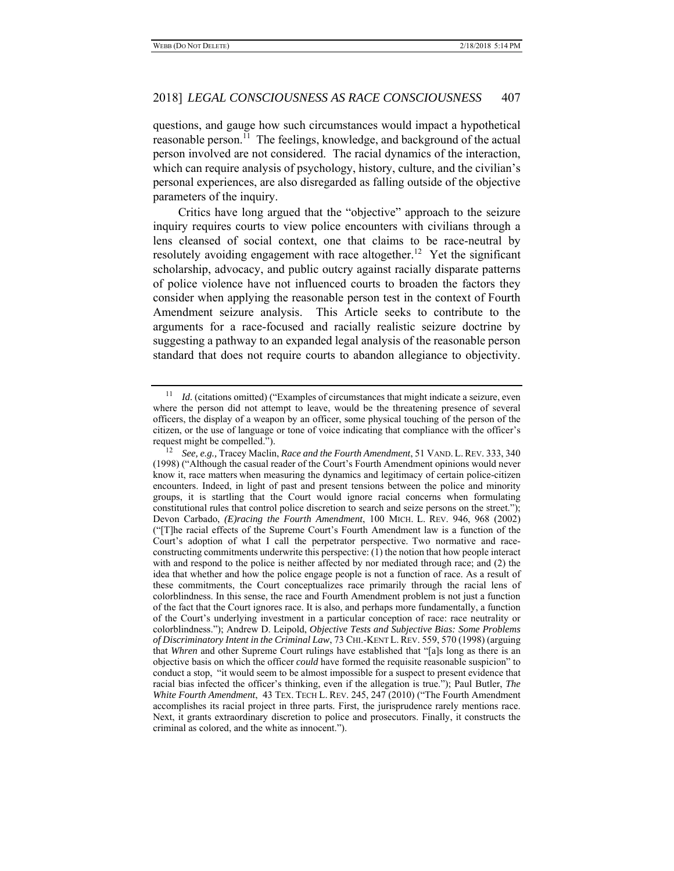questions, and gauge how such circumstances would impact a hypothetical reasonable person.<sup>11</sup> The feelings, knowledge, and background of the actual person involved are not considered. The racial dynamics of the interaction, which can require analysis of psychology, history, culture, and the civilian's personal experiences, are also disregarded as falling outside of the objective parameters of the inquiry.

Critics have long argued that the "objective" approach to the seizure inquiry requires courts to view police encounters with civilians through a lens cleansed of social context, one that claims to be race-neutral by resolutely avoiding engagement with race altogether.<sup>12</sup> Yet the significant scholarship, advocacy, and public outcry against racially disparate patterns of police violence have not influenced courts to broaden the factors they consider when applying the reasonable person test in the context of Fourth Amendment seizure analysis. This Article seeks to contribute to the arguments for a race-focused and racially realistic seizure doctrine by suggesting a pathway to an expanded legal analysis of the reasonable person standard that does not require courts to abandon allegiance to objectivity.

<sup>&</sup>lt;sup>11</sup> *Id.* (citations omitted) ("Examples of circumstances that might indicate a seizure, even where the person did not attempt to leave, would be the threatening presence of several officers, the display of a weapon by an officer, some physical touching of the person of the citizen, or the use of language or tone of voice indicating that compliance with the officer's

<sup>&</sup>lt;sup>12</sup> *See, e.g., Tracey Maclin, Race and the Fourth Amendment*, 51 VAND. L. REV. 333, 340 (1998) ("Although the casual reader of the Court's Fourth Amendment opinions would never know it, race matters when measuring the dynamics and legitimacy of certain police-citizen encounters. Indeed, in light of past and present tensions between the police and minority groups, it is startling that the Court would ignore racial concerns when formulating constitutional rules that control police discretion to search and seize persons on the street."); Devon Carbado, *(E)racing the Fourth Amendment*, 100 MICH. L. REV. 946, 968 (2002) ("[T]he racial effects of the Supreme Court's Fourth Amendment law is a function of the Court's adoption of what I call the perpetrator perspective. Two normative and raceconstructing commitments underwrite this perspective: (1) the notion that how people interact with and respond to the police is neither affected by nor mediated through race; and (2) the idea that whether and how the police engage people is not a function of race. As a result of these commitments, the Court conceptualizes race primarily through the racial lens of colorblindness. In this sense, the race and Fourth Amendment problem is not just a function of the fact that the Court ignores race. It is also, and perhaps more fundamentally, a function of the Court's underlying investment in a particular conception of race: race neutrality or colorblindness."); Andrew D. Leipold, *Objective Tests and Subjective Bias: Some Problems of Discriminatory Intent in the Criminal Law*, 73 CHI.-KENT L. REV. 559, 570 (1998) (arguing that *Whren* and other Supreme Court rulings have established that "[a]s long as there is an objective basis on which the officer *could* have formed the requisite reasonable suspicion" to conduct a stop, "it would seem to be almost impossible for a suspect to present evidence that racial bias infected the officer's thinking, even if the allegation is true."); Paul Butler, *The White Fourth Amendment*, 43 TEX. TECH L. REV. 245, 247 (2010) ("The Fourth Amendment accomplishes its racial project in three parts. First, the jurisprudence rarely mentions race. Next, it grants extraordinary discretion to police and prosecutors. Finally, it constructs the criminal as colored, and the white as innocent.").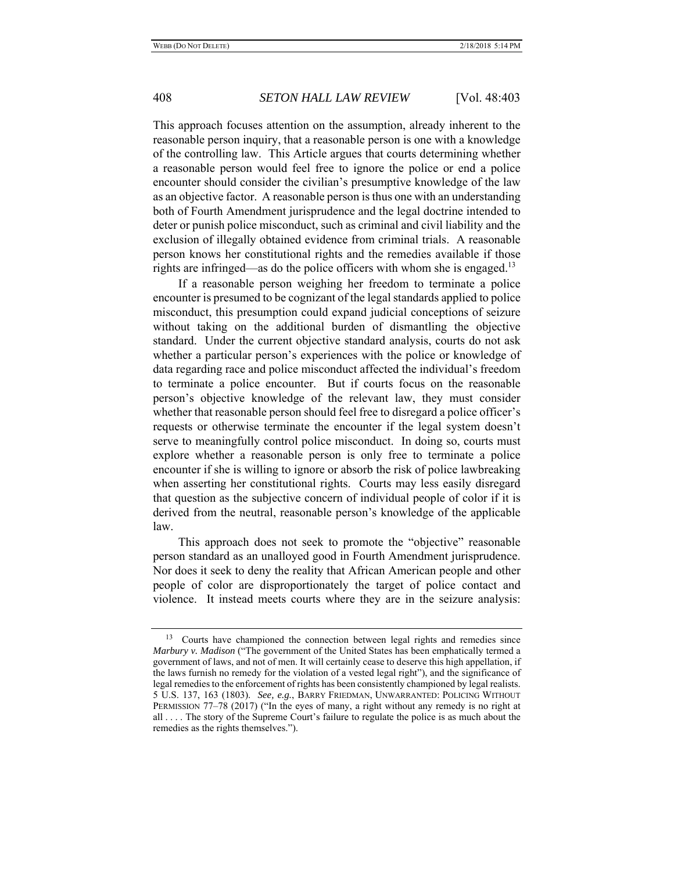This approach focuses attention on the assumption, already inherent to the reasonable person inquiry, that a reasonable person is one with a knowledge of the controlling law. This Article argues that courts determining whether a reasonable person would feel free to ignore the police or end a police encounter should consider the civilian's presumptive knowledge of the law as an objective factor. A reasonable person is thus one with an understanding both of Fourth Amendment jurisprudence and the legal doctrine intended to deter or punish police misconduct, such as criminal and civil liability and the exclusion of illegally obtained evidence from criminal trials. A reasonable person knows her constitutional rights and the remedies available if those rights are infringed—as do the police officers with whom she is engaged.<sup>13</sup>

If a reasonable person weighing her freedom to terminate a police encounter is presumed to be cognizant of the legal standards applied to police misconduct, this presumption could expand judicial conceptions of seizure without taking on the additional burden of dismantling the objective standard. Under the current objective standard analysis, courts do not ask whether a particular person's experiences with the police or knowledge of data regarding race and police misconduct affected the individual's freedom to terminate a police encounter. But if courts focus on the reasonable person's objective knowledge of the relevant law, they must consider whether that reasonable person should feel free to disregard a police officer's requests or otherwise terminate the encounter if the legal system doesn't serve to meaningfully control police misconduct. In doing so, courts must explore whether a reasonable person is only free to terminate a police encounter if she is willing to ignore or absorb the risk of police lawbreaking when asserting her constitutional rights. Courts may less easily disregard that question as the subjective concern of individual people of color if it is derived from the neutral, reasonable person's knowledge of the applicable law.

This approach does not seek to promote the "objective" reasonable person standard as an unalloyed good in Fourth Amendment jurisprudence. Nor does it seek to deny the reality that African American people and other people of color are disproportionately the target of police contact and violence. It instead meets courts where they are in the seizure analysis:

<sup>&</sup>lt;sup>13</sup> Courts have championed the connection between legal rights and remedies since *Marbury v. Madison* ("The government of the United States has been emphatically termed a government of laws, and not of men. It will certainly cease to deserve this high appellation, if the laws furnish no remedy for the violation of a vested legal right"), and the significance of legal remedies to the enforcement of rights has been consistently championed by legal realists. 5 U.S. 137, 163 (1803). *See, e.g.*, BARRY FRIEDMAN, UNWARRANTED: POLICING WITHOUT PERMISSION 77–78 (2017) ("In the eyes of many, a right without any remedy is no right at all . . . . The story of the Supreme Court's failure to regulate the police is as much about the remedies as the rights themselves.").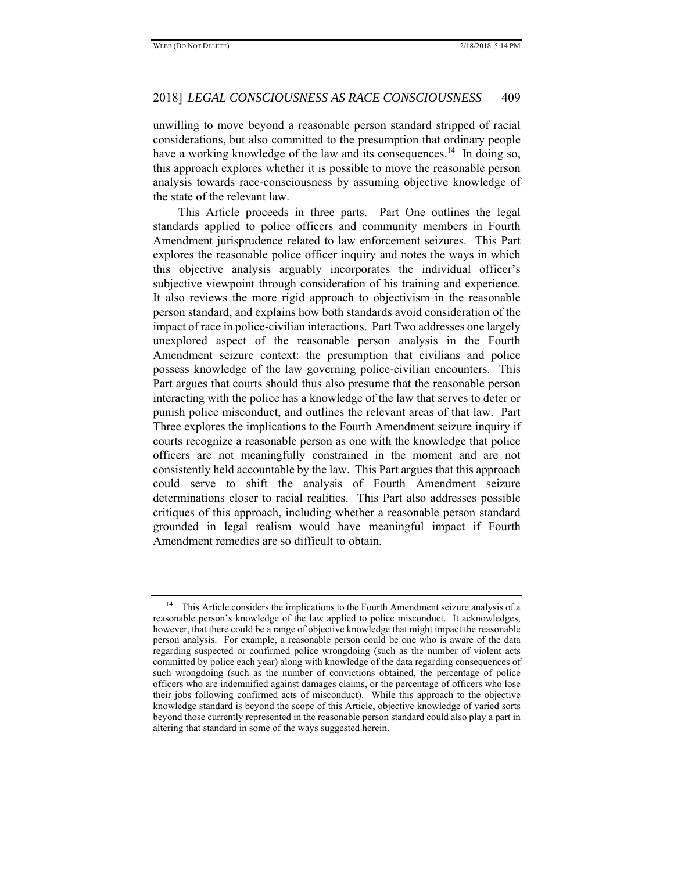unwilling to move beyond a reasonable person standard stripped of racial considerations, but also committed to the presumption that ordinary people have a working knowledge of the law and its consequences.<sup>14</sup> In doing so, this approach explores whether it is possible to move the reasonable person analysis towards race-consciousness by assuming objective knowledge of the state of the relevant law.

This Article proceeds in three parts. Part One outlines the legal standards applied to police officers and community members in Fourth Amendment jurisprudence related to law enforcement seizures. This Part explores the reasonable police officer inquiry and notes the ways in which this objective analysis arguably incorporates the individual officer's subjective viewpoint through consideration of his training and experience. It also reviews the more rigid approach to objectivism in the reasonable person standard, and explains how both standards avoid consideration of the impact of race in police-civilian interactions. Part Two addresses one largely unexplored aspect of the reasonable person analysis in the Fourth Amendment seizure context: the presumption that civilians and police possess knowledge of the law governing police-civilian encounters. This Part argues that courts should thus also presume that the reasonable person interacting with the police has a knowledge of the law that serves to deter or punish police misconduct, and outlines the relevant areas of that law. Part Three explores the implications to the Fourth Amendment seizure inquiry if courts recognize a reasonable person as one with the knowledge that police officers are not meaningfully constrained in the moment and are not consistently held accountable by the law. This Part argues that this approach could serve to shift the analysis of Fourth Amendment seizure determinations closer to racial realities. This Part also addresses possible critiques of this approach, including whether a reasonable person standard grounded in legal realism would have meaningful impact if Fourth Amendment remedies are so difficult to obtain.

<sup>&</sup>lt;sup>14</sup> This Article considers the implications to the Fourth Amendment seizure analysis of a reasonable person's knowledge of the law applied to police misconduct. It acknowledges, however, that there could be a range of objective knowledge that might impact the reasonable person analysis. For example, a reasonable person could be one who is aware of the data regarding suspected or confirmed police wrongdoing (such as the number of violent acts committed by police each year) along with knowledge of the data regarding consequences of such wrongdoing (such as the number of convictions obtained, the percentage of police officers who are indemnified against damages claims, or the percentage of officers who lose their jobs following confirmed acts of misconduct). While this approach to the objective knowledge standard is beyond the scope of this Article, objective knowledge of varied sorts beyond those currently represented in the reasonable person standard could also play a part in altering that standard in some of the ways suggested herein.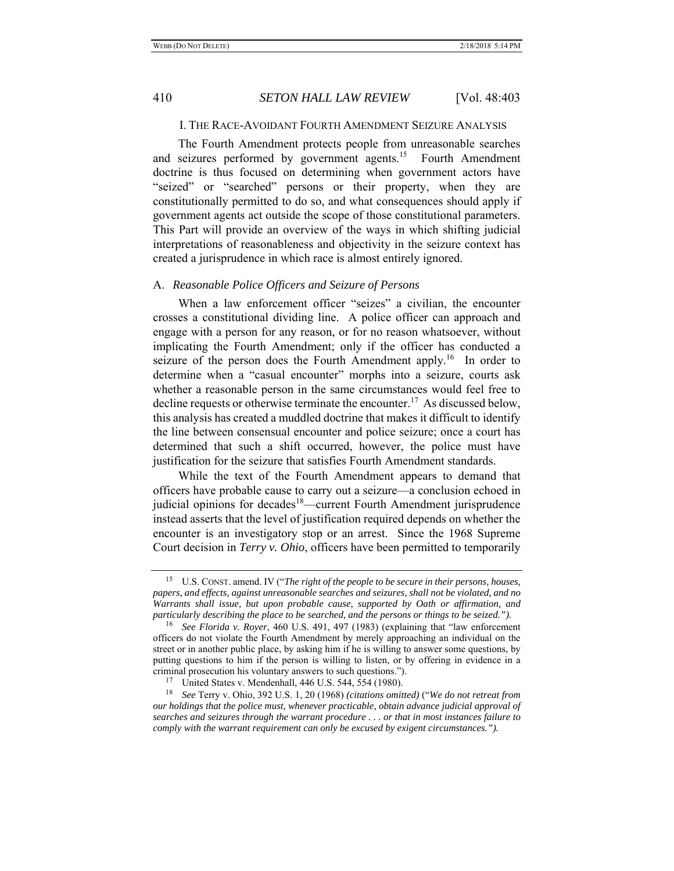### I. THE RACE-AVOIDANT FOURTH AMENDMENT SEIZURE ANALYSIS

The Fourth Amendment protects people from unreasonable searches and seizures performed by government agents.<sup>15</sup> Fourth Amendment doctrine is thus focused on determining when government actors have "seized" or "searched" persons or their property, when they are constitutionally permitted to do so, and what consequences should apply if government agents act outside the scope of those constitutional parameters. This Part will provide an overview of the ways in which shifting judicial interpretations of reasonableness and objectivity in the seizure context has created a jurisprudence in which race is almost entirely ignored.

### A. *Reasonable Police Officers and Seizure of Persons*

When a law enforcement officer "seizes" a civilian, the encounter crosses a constitutional dividing line. A police officer can approach and engage with a person for any reason, or for no reason whatsoever, without implicating the Fourth Amendment; only if the officer has conducted a seizure of the person does the Fourth Amendment apply.<sup>16</sup> In order to determine when a "casual encounter" morphs into a seizure, courts ask whether a reasonable person in the same circumstances would feel free to decline requests or otherwise terminate the encounter.<sup>17</sup> As discussed below, this analysis has created a muddled doctrine that makes it difficult to identify the line between consensual encounter and police seizure; once a court has determined that such a shift occurred, however, the police must have justification for the seizure that satisfies Fourth Amendment standards.

While the text of the Fourth Amendment appears to demand that officers have probable cause to carry out a seizure—a conclusion echoed in judicial opinions for decades<sup>18</sup>—current Fourth Amendment jurisprudence instead asserts that the level of justification required depends on whether the encounter is an investigatory stop or an arrest. Since the 1968 Supreme Court decision in *Terry v. Ohio*, officers have been permitted to temporarily

<sup>15</sup> U.S. CONST. amend. IV ("*The right of the people to be secure in their persons, houses, papers, and effects, against unreasonable searches and seizures, shall not be violated, and no Warrants shall issue, but upon probable cause, supported by Oath or affirmation, and particularly describing the place to be searched, and the persons or things to be seized.").* 

<sup>16</sup> *See Florida v. Royer*, 460 U.S. 491, 497 (1983) (explaining that "law enforcement officers do not violate the Fourth Amendment by merely approaching an individual on the street or in another public place, by asking him if he is willing to answer some questions, by putting questions to him if the person is willing to listen, or by offering in evidence in a criminal prosecution his voluntary answers to such questions.").

<sup>&</sup>lt;sup>17</sup> United States v. Mendenhall, 446 U.S. 544, 554 (1980).

<sup>18</sup> *See* Terry v. Ohio, 392 U.S. 1, 20 (1968) *(citations omitted)* ("*We do not retreat from our holdings that the police must, whenever practicable, obtain advance judicial approval of searches and seizures through the warrant procedure . . . or that in most instances failure to comply with the warrant requirement can only be excused by exigent circumstances.").*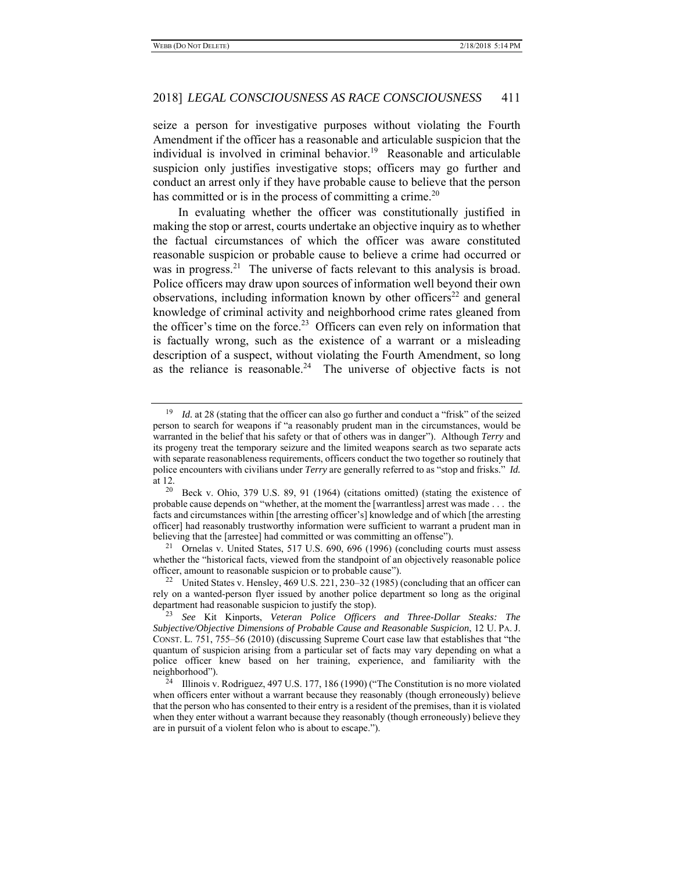seize a person for investigative purposes without violating the Fourth Amendment if the officer has a reasonable and articulable suspicion that the individual is involved in criminal behavior.<sup>19</sup> Reasonable and articulable suspicion only justifies investigative stops; officers may go further and conduct an arrest only if they have probable cause to believe that the person has committed or is in the process of committing a crime.<sup>20</sup>

In evaluating whether the officer was constitutionally justified in making the stop or arrest, courts undertake an objective inquiry as to whether the factual circumstances of which the officer was aware constituted reasonable suspicion or probable cause to believe a crime had occurred or was in progress.<sup>21</sup> The universe of facts relevant to this analysis is broad. Police officers may draw upon sources of information well beyond their own observations, including information known by other officers<sup>22</sup> and general knowledge of criminal activity and neighborhood crime rates gleaned from the officer's time on the force.<sup>23</sup> Officers can even rely on information that is factually wrong, such as the existence of a warrant or a misleading description of a suspect, without violating the Fourth Amendment, so long as the reliance is reasonable.<sup>24</sup> The universe of objective facts is not

<sup>&</sup>lt;sup>19</sup> *Id.* at 28 (stating that the officer can also go further and conduct a "frisk" of the seized person to search for weapons if "a reasonably prudent man in the circumstances, would be warranted in the belief that his safety or that of others was in danger"). Although *Terry* and its progeny treat the temporary seizure and the limited weapons search as two separate acts with separate reasonableness requirements, officers conduct the two together so routinely that police encounters with civilians under *Terry* are generally referred to as "stop and frisks." *Id.* at 12.

<sup>&</sup>lt;sup>20</sup> Beck v. Ohio, 379 U.S. 89, 91 (1964) (citations omitted) (stating the existence of probable cause depends on "whether, at the moment the [warrantless] arrest was made . . . the facts and circumstances within [the arresting officer's] knowledge and of which [the arresting officer] had reasonably trustworthy information were sufficient to warrant a prudent man in believing that the [arrestee] had committed or was committing an offense").<br><sup>21</sup> Ornelas v. United States, 517 U.S. 690, 696 (1996) (concluding courts must assess

whether the "historical facts, viewed from the standpoint of an objectively reasonable police officer, amount to reasonable suspicion or to probable cause").<br><sup>22</sup> United States v. Hensley, 469 U.S. 221, 230–32 (1985) (concluding that an officer can

rely on a wanted-person flyer issued by another police department so long as the original department had reasonable suspicion to justify the stop).

<sup>23</sup> *See* Kit Kinports, *Veteran Police Officers and Three-Dollar Steaks: The Subjective/Objective Dimensions of Probable Cause and Reasonable Suspicion*, 12 U. PA. J. CONST. L. 751, 755–56 (2010) (discussing Supreme Court case law that establishes that "the quantum of suspicion arising from a particular set of facts may vary depending on what a police officer knew based on her training, experience, and familiarity with the neighborhood").<br><sup>24</sup> Illinois v. Rodriguez, 497 U.S. 177, 186 (1990) ("The Constitution is no more violated

when officers enter without a warrant because they reasonably (though erroneously) believe that the person who has consented to their entry is a resident of the premises, than it is violated when they enter without a warrant because they reasonably (though erroneously) believe they are in pursuit of a violent felon who is about to escape.").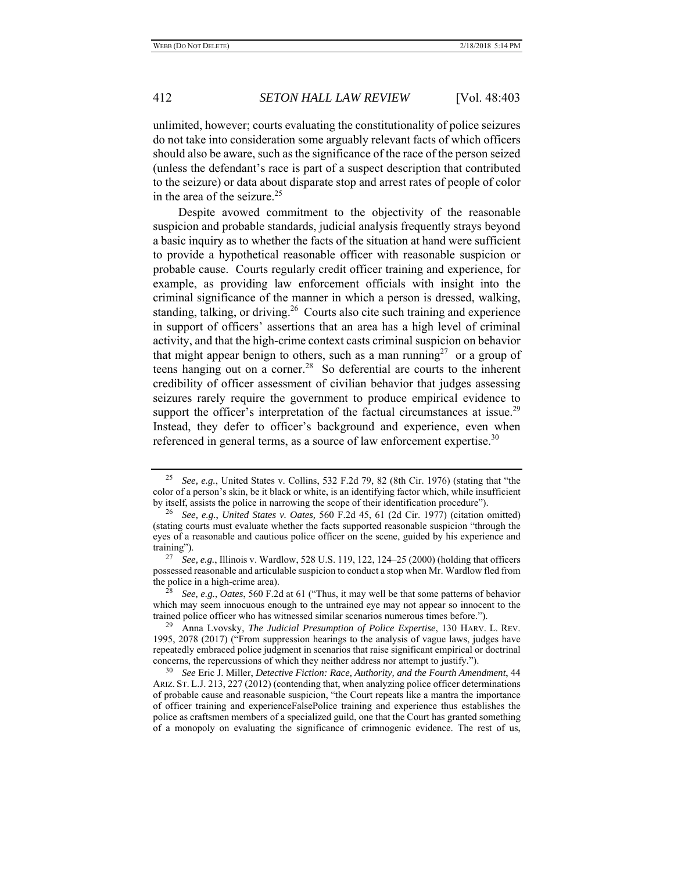unlimited, however; courts evaluating the constitutionality of police seizures do not take into consideration some arguably relevant facts of which officers should also be aware, such as the significance of the race of the person seized (unless the defendant's race is part of a suspect description that contributed to the seizure) or data about disparate stop and arrest rates of people of color in the area of the seizure.<sup>25</sup>

Despite avowed commitment to the objectivity of the reasonable suspicion and probable standards, judicial analysis frequently strays beyond a basic inquiry as to whether the facts of the situation at hand were sufficient to provide a hypothetical reasonable officer with reasonable suspicion or probable cause. Courts regularly credit officer training and experience, for example, as providing law enforcement officials with insight into the criminal significance of the manner in which a person is dressed, walking, standing, talking, or driving.<sup>26</sup> Courts also cite such training and experience in support of officers' assertions that an area has a high level of criminal activity, and that the high-crime context casts criminal suspicion on behavior that might appear benign to others, such as a man running<sup>27</sup> or a group of teens hanging out on a corner.<sup>28</sup> So deferential are courts to the inherent credibility of officer assessment of civilian behavior that judges assessing seizures rarely require the government to produce empirical evidence to support the officer's interpretation of the factual circumstances at issue.<sup>29</sup> Instead, they defer to officer's background and experience, even when referenced in general terms, as a source of law enforcement expertise.<sup>30</sup>

<sup>25</sup> *See, e.g.*, United States v. Collins, 532 F.2d 79, 82 (8th Cir. 1976) (stating that "the color of a person's skin, be it black or white, is an identifying factor which, while insufficient by itself, assists the police in narrowing the scope of their identification procedure").

<sup>26</sup> *See, e.g.*, *United States v. Oates,* 560 F.2d 45, 61 (2d Cir. 1977) (citation omitted) (stating courts must evaluate whether the facts supported reasonable suspicion "through the eyes of a reasonable and cautious police officer on the scene, guided by his experience and training").

<sup>27</sup> *See, e.g.*, Illinois v. Wardlow, 528 U.S. 119, 122, 124–25 (2000) (holding that officers possessed reasonable and articulable suspicion to conduct a stop when Mr. Wardlow fled from the police in a high-crime area).

<sup>28</sup> *See, e.g.*, *Oates*, 560 F.2d at 61 ("Thus, it may well be that some patterns of behavior which may seem innocuous enough to the untrained eye may not appear so innocent to the trained police officer who has witnessed similar scenarios numerous times before.").

<sup>29</sup> Anna Lvovsky, *The Judicial Presumption of Police Expertise*, 130 HARV. L. REV. 1995, 2078 (2017) ("From suppression hearings to the analysis of vague laws, judges have repeatedly embraced police judgment in scenarios that raise significant empirical or doctrinal concerns, the repercussions of which they neither address nor attempt to justify.").

<sup>30</sup> *See* Eric J. Miller, *Detective Fiction: Race, Authority, and the Fourth Amendment*, 44 ARIZ. ST. L.J. 213, 227 (2012) (contending that, when analyzing police officer determinations of probable cause and reasonable suspicion, "the Court repeats like a mantra the importance of officer training and experienceFalsePolice training and experience thus establishes the police as craftsmen members of a specialized guild, one that the Court has granted something of a monopoly on evaluating the significance of crimnogenic evidence. The rest of us,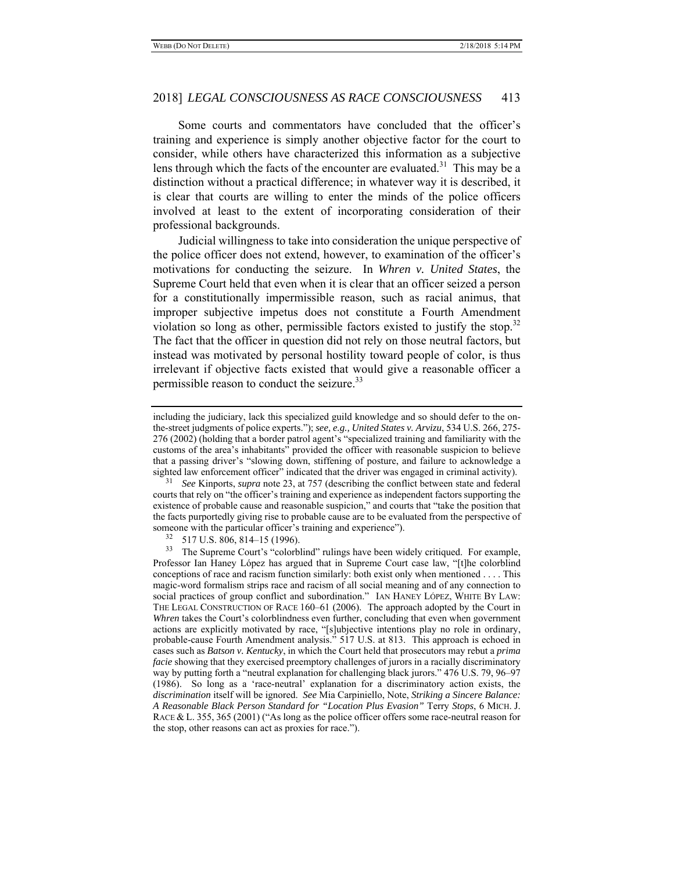Some courts and commentators have concluded that the officer's training and experience is simply another objective factor for the court to consider, while others have characterized this information as a subjective lens through which the facts of the encounter are evaluated.<sup>31</sup> This may be a distinction without a practical difference; in whatever way it is described, it is clear that courts are willing to enter the minds of the police officers involved at least to the extent of incorporating consideration of their professional backgrounds.

Judicial willingness to take into consideration the unique perspective of the police officer does not extend, however, to examination of the officer's motivations for conducting the seizure. In *Whren v. United States*, the Supreme Court held that even when it is clear that an officer seized a person for a constitutionally impermissible reason, such as racial animus, that improper subjective impetus does not constitute a Fourth Amendment violation so long as other, permissible factors existed to justify the stop.<sup>32</sup> The fact that the officer in question did not rely on those neutral factors, but instead was motivated by personal hostility toward people of color, is thus irrelevant if objective facts existed that would give a reasonable officer a permissible reason to conduct the seizure.<sup>33</sup>

31 *See* Kinports, *supra* note 23, at 757 (describing the conflict between state and federal courts that rely on "the officer's training and experience as independent factors supporting the existence of probable cause and reasonable suspicion," and courts that "take the position that the facts purportedly giving rise to probable cause are to be evaluated from the perspective of someone with the particular officer's training and experience").<br><sup>32</sup> 517 U.S. 806, 814–15 (1996).

including the judiciary, lack this specialized guild knowledge and so should defer to the onthe-street judgments of police experts."); *see, e.g., United States v. Arvizu*, 534 U.S. 266, 275- 276 (2002) (holding that a border patrol agent's "specialized training and familiarity with the customs of the area's inhabitants" provided the officer with reasonable suspicion to believe that a passing driver's "slowing down, stiffening of posture, and failure to acknowledge a sighted law enforcement officer" indicated that the driver was engaged in criminal activity).

<sup>&</sup>lt;sup>33</sup> The Supreme Court's "colorblind" rulings have been widely critiqued. For example, Professor Ian Haney López has argued that in Supreme Court case law, "[t]he colorblind conceptions of race and racism function similarly: both exist only when mentioned . . . . This magic-word formalism strips race and racism of all social meaning and of any connection to social practices of group conflict and subordination." IAN HANEY LÓPEZ, WHITE BY LAW: THE LEGAL CONSTRUCTION OF RACE 160–61 (2006). The approach adopted by the Court in *Whren* takes the Court's colorblindness even further, concluding that even when government actions are explicitly motivated by race, "[s]ubjective intentions play no role in ordinary, probable-cause Fourth Amendment analysis." 517 U.S. at 813. This approach is echoed in cases such as *Batson v. Kentucky*, in which the Court held that prosecutors may rebut a *prima facie* showing that they exercised preemptory challenges of jurors in a racially discriminatory way by putting forth a "neutral explanation for challenging black jurors." 476 U.S. 79, 96–97 (1986). So long as a 'race-neutral' explanation for a discriminatory action exists, the *discrimination* itself will be ignored. *See* Mia Carpiniello, Note, *Striking a Sincere Balance: A Reasonable Black Person Standard for "Location Plus Evasion"* Terry *Stops*, 6 MICH. J. RACE & L. 355, 365 (2001) ("As long as the police officer offers some race-neutral reason for the stop, other reasons can act as proxies for race.").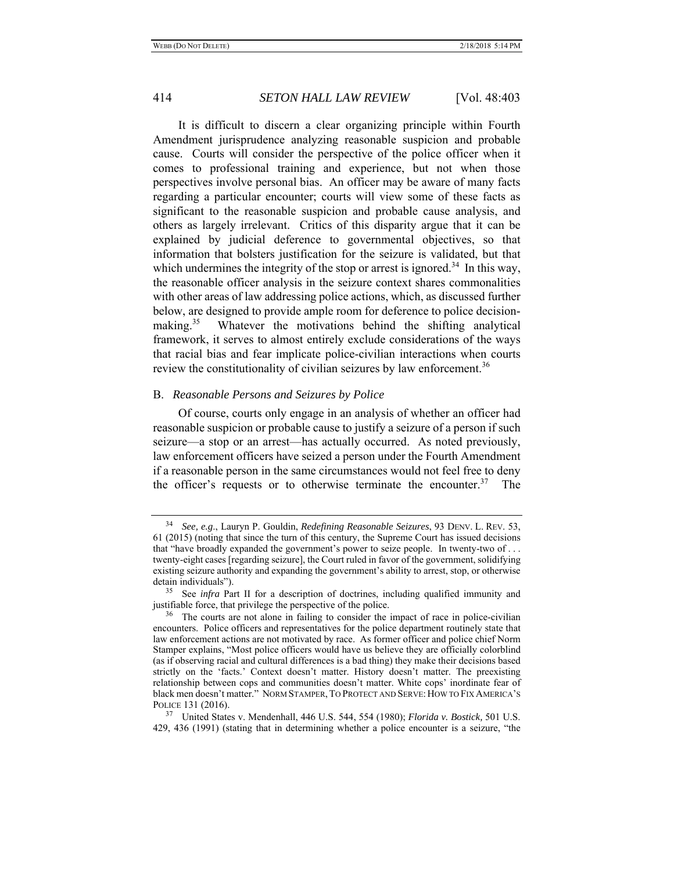It is difficult to discern a clear organizing principle within Fourth Amendment jurisprudence analyzing reasonable suspicion and probable cause. Courts will consider the perspective of the police officer when it comes to professional training and experience, but not when those perspectives involve personal bias. An officer may be aware of many facts regarding a particular encounter; courts will view some of these facts as significant to the reasonable suspicion and probable cause analysis, and others as largely irrelevant. Critics of this disparity argue that it can be explained by judicial deference to governmental objectives, so that information that bolsters justification for the seizure is validated, but that which undermines the integrity of the stop or arrest is ignored.<sup>34</sup> In this way, the reasonable officer analysis in the seizure context shares commonalities with other areas of law addressing police actions, which, as discussed further below, are designed to provide ample room for deference to police decisionmaking.<sup>35</sup> Whatever the motivations behind the shifting analytical framework, it serves to almost entirely exclude considerations of the ways that racial bias and fear implicate police-civilian interactions when courts review the constitutionality of civilian seizures by law enforcement.<sup>36</sup>

#### B. *Reasonable Persons and Seizures by Police*

Of course, courts only engage in an analysis of whether an officer had reasonable suspicion or probable cause to justify a seizure of a person if such seizure—a stop or an arrest—has actually occurred. As noted previously, law enforcement officers have seized a person under the Fourth Amendment if a reasonable person in the same circumstances would not feel free to deny the officer's requests or to otherwise terminate the encounter.<sup>37</sup> The

<sup>34</sup> *See, e.g*., Lauryn P. Gouldin, *Redefining Reasonable Seizures*, 93 DENV. L. REV. 53, 61 (2015) (noting that since the turn of this century, the Supreme Court has issued decisions that "have broadly expanded the government's power to seize people. In twenty-two of . . . twenty-eight cases [regarding seizure], the Court ruled in favor of the government, solidifying existing seizure authority and expanding the government's ability to arrest, stop, or otherwise detain individuals").

<sup>&</sup>lt;sup>35</sup> See *infra* Part II for a description of doctrines, including qualified immunity and justifiable force, that privilege the perspective of the police.

 $36$  The courts are not alone in failing to consider the impact of race in police-civilian encounters. Police officers and representatives for the police department routinely state that law enforcement actions are not motivated by race. As former officer and police chief Norm Stamper explains, "Most police officers would have us believe they are officially colorblind (as if observing racial and cultural differences is a bad thing) they make their decisions based strictly on the 'facts.' Context doesn't matter. History doesn't matter. The preexisting relationship between cops and communities doesn't matter. White cops' inordinate fear of black men doesn't matter." NORM STAMPER,TO PROTECT AND SERVE: HOW TO FIX AMERICA'S POLICE 131 (2016).

<sup>37</sup> United States v. Mendenhall, 446 U.S. 544, 554 (1980); *Florida v. Bostick,* 501 U.S. 429, 436 (1991) (stating that in determining whether a police encounter is a seizure, "the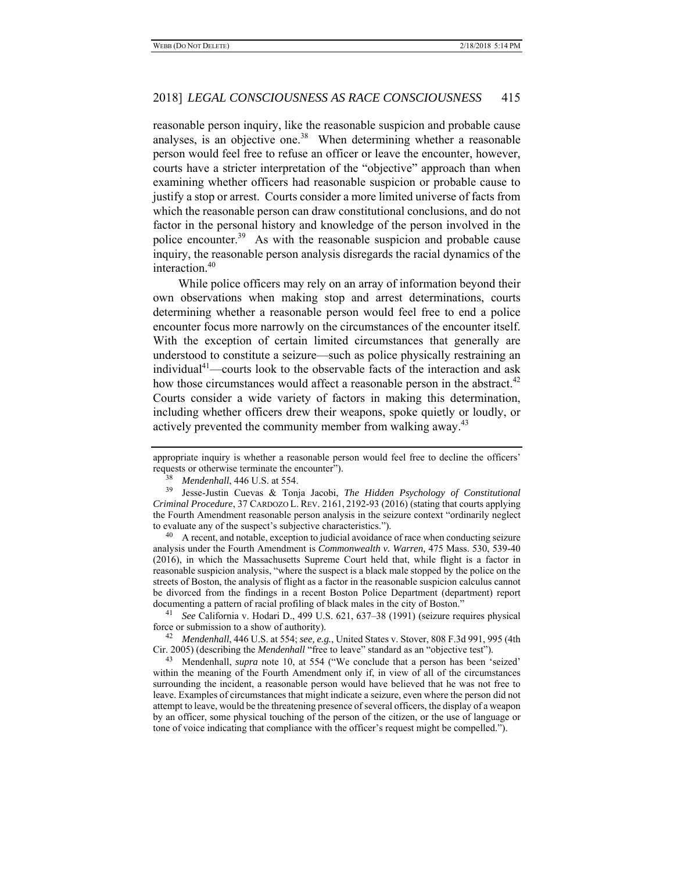reasonable person inquiry, like the reasonable suspicion and probable cause analyses, is an objective one. $38$  When determining whether a reasonable person would feel free to refuse an officer or leave the encounter, however, courts have a stricter interpretation of the "objective" approach than when examining whether officers had reasonable suspicion or probable cause to justify a stop or arrest. Courts consider a more limited universe of facts from which the reasonable person can draw constitutional conclusions, and do not factor in the personal history and knowledge of the person involved in the police encounter.<sup>39</sup> As with the reasonable suspicion and probable cause inquiry, the reasonable person analysis disregards the racial dynamics of the interaction.<sup>40</sup>

While police officers may rely on an array of information beyond their own observations when making stop and arrest determinations, courts determining whether a reasonable person would feel free to end a police encounter focus more narrowly on the circumstances of the encounter itself. With the exception of certain limited circumstances that generally are understood to constitute a seizure—such as police physically restraining an individual<sup>41</sup>—courts look to the observable facts of the interaction and ask how those circumstances would affect a reasonable person in the abstract.<sup>42</sup> Courts consider a wide variety of factors in making this determination, including whether officers drew their weapons, spoke quietly or loudly, or actively prevented the community member from walking away.<sup>43</sup>

 $t_{0}$  A recent, and notable, exception to judicial avoidance of race when conducting seizure analysis under the Fourth Amendment is *Commonwealth v. Warren,* 475 Mass. 530, 539-40 (2016), in which the Massachusetts Supreme Court held that, while flight is a factor in reasonable suspicion analysis, "where the suspect is a black male stopped by the police on the streets of Boston, the analysis of flight as a factor in the reasonable suspicion calculus cannot be divorced from the findings in a recent Boston Police Department (department) report documenting a pattern of racial profiling of black males in the city of Boston."

<sup>41</sup> See California v. Hodari D., 499 U.S. 621, 637-38 (1991) (seizure requires physical force or submission to a show of authority). 42 *Mendenhall*, 446 U.S. at 554; *see, e.g.*, United States v. Stover, 808 F.3d 991, 995 (4th

Cir. 2005) (describing the *Mendenhall* "free to leave" standard as an "objective test").

43 Mendenhall, *supra* note 10, at 554 ("We conclude that a person has been 'seized' within the meaning of the Fourth Amendment only if, in view of all of the circumstances surrounding the incident, a reasonable person would have believed that he was not free to leave. Examples of circumstances that might indicate a seizure, even where the person did not attempt to leave, would be the threatening presence of several officers, the display of a weapon by an officer, some physical touching of the person of the citizen, or the use of language or tone of voice indicating that compliance with the officer's request might be compelled.").

appropriate inquiry is whether a reasonable person would feel free to decline the officers' requests or otherwise terminate the encounter").

<sup>38</sup>*Mendenhall*, 446 U.S. at 554. 39 Jesse-Justin Cuevas & Tonja Jacobi, *The Hidden Psychology of Constitutional Criminal Procedure*, 37 CARDOZO L. REV. 2161, 2192-93 (2016) (stating that courts applying the Fourth Amendment reasonable person analysis in the seizure context "ordinarily neglect to evaluate any of the suspect's subjective characteristics.").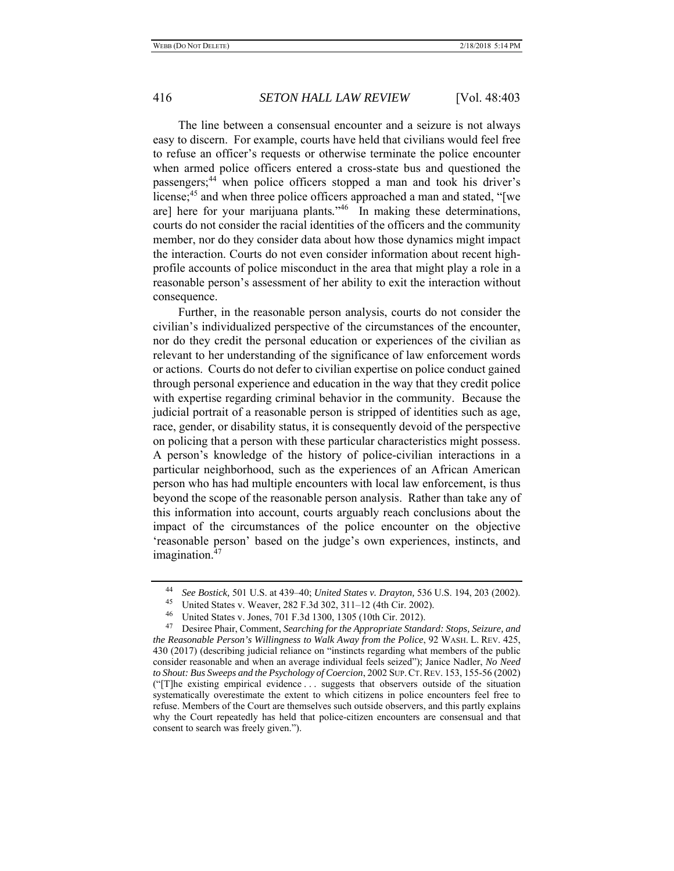The line between a consensual encounter and a seizure is not always easy to discern. For example, courts have held that civilians would feel free to refuse an officer's requests or otherwise terminate the police encounter when armed police officers entered a cross-state bus and questioned the passengers;<sup>44</sup> when police officers stopped a man and took his driver's license;<sup>45</sup> and when three police officers approached a man and stated, "[we are] here for your marijuana plants*.*"46 In making these determinations, courts do not consider the racial identities of the officers and the community member, nor do they consider data about how those dynamics might impact the interaction. Courts do not even consider information about recent highprofile accounts of police misconduct in the area that might play a role in a reasonable person's assessment of her ability to exit the interaction without consequence.

Further, in the reasonable person analysis, courts do not consider the civilian's individualized perspective of the circumstances of the encounter, nor do they credit the personal education or experiences of the civilian as relevant to her understanding of the significance of law enforcement words or actions. Courts do not defer to civilian expertise on police conduct gained through personal experience and education in the way that they credit police with expertise regarding criminal behavior in the community. Because the judicial portrait of a reasonable person is stripped of identities such as age, race, gender, or disability status, it is consequently devoid of the perspective on policing that a person with these particular characteristics might possess. A person's knowledge of the history of police-civilian interactions in a particular neighborhood, such as the experiences of an African American person who has had multiple encounters with local law enforcement, is thus beyond the scope of the reasonable person analysis. Rather than take any of this information into account, courts arguably reach conclusions about the impact of the circumstances of the police encounter on the objective 'reasonable person' based on the judge's own experiences, instincts, and imagination. $47$ 

<sup>44</sup> *See Bostick,* 501 U.S. at 439–40; *United States v. Drayton,* 536 U.S. 194, 203 (2002).

<sup>&</sup>lt;sup>45</sup> United States v. Weaver, 282 F.3d 302, 311–12 (4th Cir. 2002).<br><sup>46</sup> United States v. Jones, 701 F.3d 1300, 1305 (10th Cir. 2012).<br><sup>47</sup> Desiree Pheir Comment Searching for the Appropriate Standar

<sup>47</sup> Desiree Phair, Comment, *Searching for the Appropriate Standard: Stops, Seizure, and the Reasonable Person's Willingness to Walk Away from the Police*, 92 WASH. L. REV. 425, 430 (2017) (describing judicial reliance on "instincts regarding what members of the public consider reasonable and when an average individual feels seized"); Janice Nadler, *No Need to Shout: Bus Sweeps and the Psychology of Coercion*, 2002 SUP.CT.REV. 153, 155-56 (2002) ("[T]he existing empirical evidence . . . suggests that observers outside of the situation systematically overestimate the extent to which citizens in police encounters feel free to refuse. Members of the Court are themselves such outside observers, and this partly explains why the Court repeatedly has held that police-citizen encounters are consensual and that consent to search was freely given.").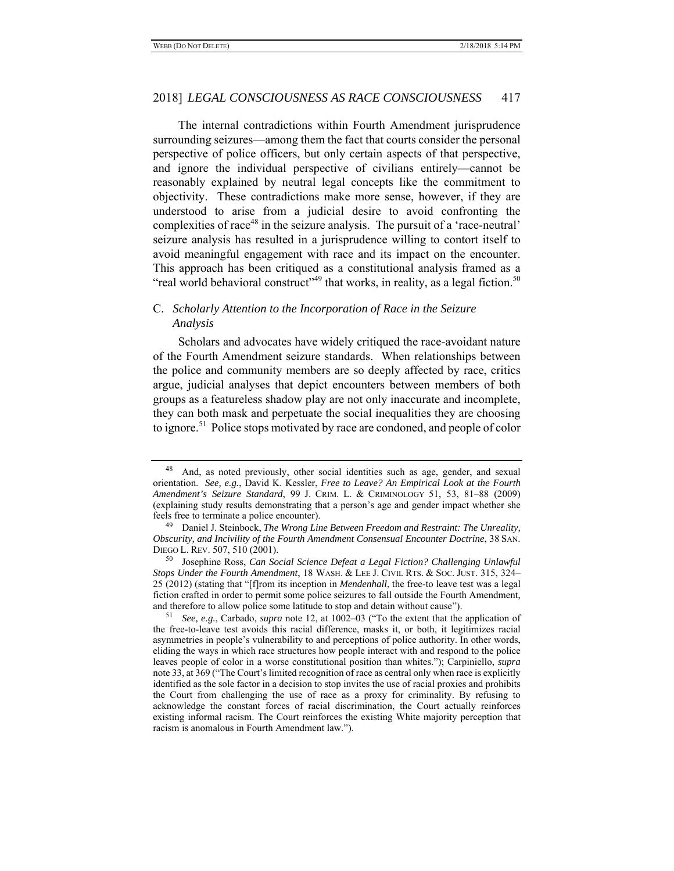The internal contradictions within Fourth Amendment jurisprudence surrounding seizures—among them the fact that courts consider the personal perspective of police officers, but only certain aspects of that perspective, and ignore the individual perspective of civilians entirely—cannot be reasonably explained by neutral legal concepts like the commitment to objectivity. These contradictions make more sense, however, if they are understood to arise from a judicial desire to avoid confronting the complexities of race<sup>48</sup> in the seizure analysis. The pursuit of a 'race-neutral' seizure analysis has resulted in a jurisprudence willing to contort itself to avoid meaningful engagement with race and its impact on the encounter. This approach has been critiqued as a constitutional analysis framed as a "real world behavioral construct"<sup>49</sup> that works, in reality, as a legal fiction.<sup>50</sup>

## C. *Scholarly Attention to the Incorporation of Race in the Seizure Analysis*

Scholars and advocates have widely critiqued the race-avoidant nature of the Fourth Amendment seizure standards. When relationships between the police and community members are so deeply affected by race, critics argue, judicial analyses that depict encounters between members of both groups as a featureless shadow play are not only inaccurate and incomplete, they can both mask and perpetuate the social inequalities they are choosing to ignore.<sup>51</sup> Police stops motivated by race are condoned, and people of color

And, as noted previously, other social identities such as age, gender, and sexual orientation. *See, e.g.*, David K. Kessler, *Free to Leave? An Empirical Look at the Fourth Amendment's Seizure Standard*, 99 J. CRIM. L. & CRIMINOLOGY 51, 53, 81–88 (2009) (explaining study results demonstrating that a person's age and gender impact whether she feels free to terminate a police encounter).

<sup>49</sup> Daniel J. Steinbock, *The Wrong Line Between Freedom and Restraint: The Unreality, Obscurity, and Incivility of the Fourth Amendment Consensual Encounter Doctrine*, 38 SAN. DIEGO L. REV. 507, 510 (2001).

<sup>50</sup> Josephine Ross, *Can Social Science Defeat a Legal Fiction? Challenging Unlawful Stops Under the Fourth Amendment*, 18 WASH. & LEE J. CIVIL RTS. & SOC. JUST. 315, 324– 25 (2012) (stating that "[f]rom its inception in *Mendenhall*, the free-to leave test was a legal fiction crafted in order to permit some police seizures to fall outside the Fourth Amendment, and therefore to allow police some latitude to stop and detain without cause").

<sup>51</sup> *See, e.g.*, Carbado, *supra* note 12, at 1002–03 ("To the extent that the application of the free-to-leave test avoids this racial difference, masks it, or both, it legitimizes racial asymmetries in people's vulnerability to and perceptions of police authority. In other words, eliding the ways in which race structures how people interact with and respond to the police leaves people of color in a worse constitutional position than whites."); Carpiniello, *supra* note 33, at 369 ("The Court's limited recognition of race as central only when race is explicitly identified as the sole factor in a decision to stop invites the use of racial proxies and prohibits the Court from challenging the use of race as a proxy for criminality. By refusing to acknowledge the constant forces of racial discrimination, the Court actually reinforces existing informal racism. The Court reinforces the existing White majority perception that racism is anomalous in Fourth Amendment law.").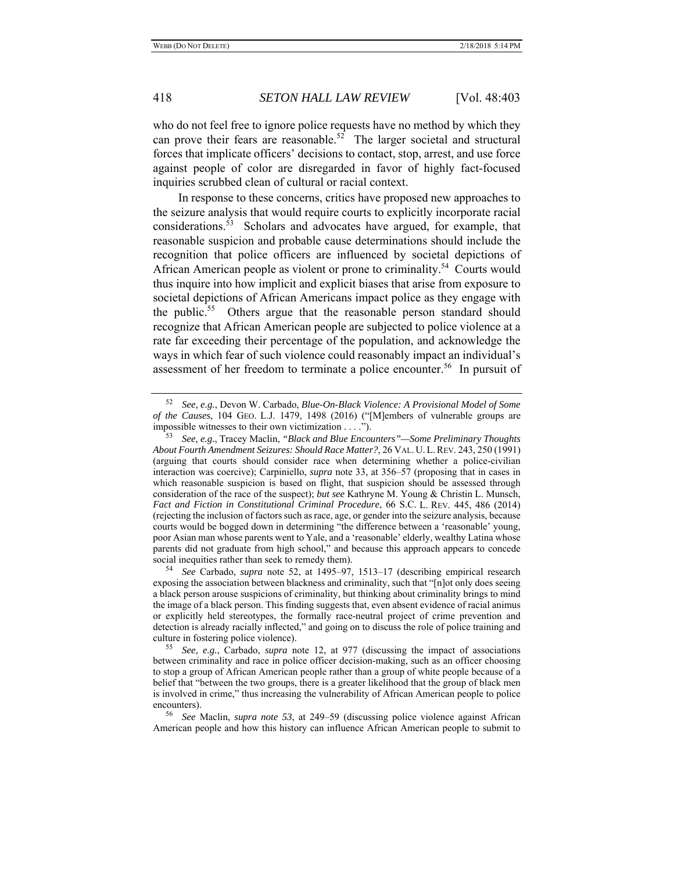who do not feel free to ignore police requests have no method by which they can prove their fears are reasonable.<sup>52</sup> The larger societal and structural forces that implicate officers' decisions to contact, stop, arrest, and use force against people of color are disregarded in favor of highly fact-focused inquiries scrubbed clean of cultural or racial context.

In response to these concerns, critics have proposed new approaches to the seizure analysis that would require courts to explicitly incorporate racial considerations.<sup>53</sup> Scholars and advocates have argued, for example, that reasonable suspicion and probable cause determinations should include the recognition that police officers are influenced by societal depictions of African American people as violent or prone to criminality.<sup>54</sup> Courts would thus inquire into how implicit and explicit biases that arise from exposure to societal depictions of African Americans impact police as they engage with the public.<sup>55</sup> Others argue that the reasonable person standard should recognize that African American people are subjected to police violence at a rate far exceeding their percentage of the population, and acknowledge the ways in which fear of such violence could reasonably impact an individual's assessment of her freedom to terminate a police encounter.<sup>56</sup> In pursuit of

<sup>52</sup> *See, e.g.*, Devon W. Carbado, *Blue-On-Black Violence: A Provisional Model of Some of the Causes*, 104 GEO. L.J. 1479, 1498 (2016) ("[M]embers of vulnerable groups are impossible witnesses to their own victimization  $\ldots$ .").

<sup>53</sup> *See, e.g.*, Tracey Maclin, *"Black and Blue Encounters"—Some Preliminary Thoughts About Fourth Amendment Seizures: Should Race Matter?*, 26 VAL. U.L.REV. 243, 250 (1991) (arguing that courts should consider race when determining whether a police-civilian interaction was coercive); Carpiniello, *supra* note 33, at 356–57 (proposing that in cases in which reasonable suspicion is based on flight, that suspicion should be assessed through consideration of the race of the suspect); *but see* Kathryne M. Young & Christin L. Munsch, *Fact and Fiction in Constitutional Criminal Procedure*, 66 S.C. L. REV. 445, 486 (2014) (rejecting the inclusion of factors such as race, age, or gender into the seizure analysis, because courts would be bogged down in determining "the difference between a 'reasonable' young, poor Asian man whose parents went to Yale, and a 'reasonable' elderly, wealthy Latina whose parents did not graduate from high school," and because this approach appears to concede social inequities rather than seek to remedy them).

<sup>54</sup> *See* Carbado, *supra* note 52, at 1495–97, 1513–17 (describing empirical research exposing the association between blackness and criminality, such that "[n]ot only does seeing a black person arouse suspicions of criminality, but thinking about criminality brings to mind the image of a black person. This finding suggests that, even absent evidence of racial animus or explicitly held stereotypes, the formally race-neutral project of crime prevention and detection is already racially inflected," and going on to discuss the role of police training and culture in fostering police violence). 55 *See, e.g.*, Carbado, *supra* note 12, at 977 (discussing the impact of associations

between criminality and race in police officer decision-making, such as an officer choosing to stop a group of African American people rather than a group of white people because of a belief that "between the two groups, there is a greater likelihood that the group of black men is involved in crime," thus increasing the vulnerability of African American people to police encounters).

<sup>56</sup> *See* Maclin, *supra note 53*, at 249–59 (discussing police violence against African American people and how this history can influence African American people to submit to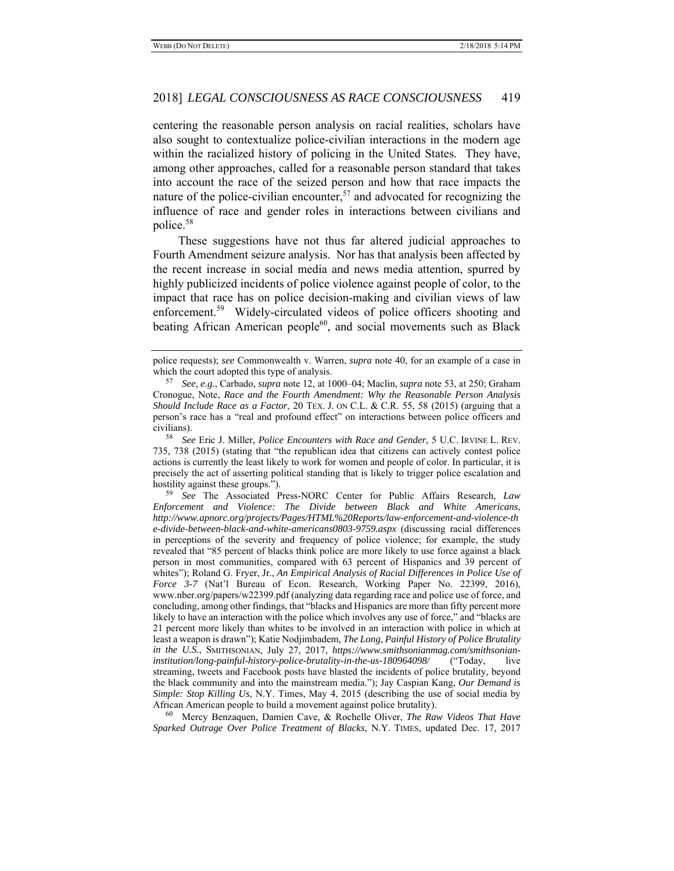centering the reasonable person analysis on racial realities, scholars have also sought to contextualize police-civilian interactions in the modern age within the racialized history of policing in the United States. They have, among other approaches, called for a reasonable person standard that takes into account the race of the seized person and how that race impacts the nature of the police-civilian encounter,<sup>57</sup> and advocated for recognizing the influence of race and gender roles in interactions between civilians and police.<sup>58</sup>

These suggestions have not thus far altered judicial approaches to Fourth Amendment seizure analysis. Nor has that analysis been affected by the recent increase in social media and news media attention, spurred by highly publicized incidents of police violence against people of color, to the impact that race has on police decision-making and civilian views of law enforcement.<sup>59</sup> Widely-circulated videos of police officers shooting and beating African American people<sup>60</sup>, and social movements such as Black

60 Mercy Benzaquen, Damien Cave, & Rochelle Oliver, *The Raw Videos That Have Sparked Outrage Over Police Treatment of Blacks*, N.Y. TIMES, updated Dec. 17, 2017

police requests); *see* Commonwealth v. Warren, *supra* note 40, for an example of a case in which the court adopted this type of analysis. 57 *See, e.g.*, Carbado, *supra* note 12, at 1000–04; Maclin, *supra* note 53, at 250; Graham

Cronogue, Note, *Race and the Fourth Amendment: Why the Reasonable Person Analysis Should Include Race as a Factor*, 20 TEX. J. ON C.L. & C.R. 55, 58 (2015) (arguing that a person's race has a "real and profound effect" on interactions between police officers and civilians).

<sup>58</sup> *See* Eric J. Miller, *Police Encounters with Race and Gender*, 5 U.C. IRVINE L. REV. 735, 738 (2015) (stating that "the republican idea that citizens can actively contest police actions is currently the least likely to work for women and people of color. In particular, it is precisely the act of asserting political standing that is likely to trigger police escalation and hostility against these groups.").

<sup>59</sup> *See* The Associated Press-NORC Center for Public Affairs Research, *Law Enforcement and Violence: The Divide between Black and White Americans*, *http://www.apnorc.org/projects/Pages/HTML%20Reports/law-enforcement-and-violence-th e-divide-between-black-and-white-americans0803-9759.aspx* (discussing racial differences in perceptions of the severity and frequency of police violence; for example, the study revealed that "85 percent of blacks think police are more likely to use force against a black person in most communities, compared with 63 percent of Hispanics and 39 percent of whites"); Roland G. Fryer, Jr., *An Empirical Analysis of Racial Differences in Police Use of Force 3-7* (Nat'l Bureau of Econ. Research, Working Paper No. 22399, 2016), www.nber.org/papers/w22399.pdf (analyzing data regarding race and police use of force, and concluding, among other findings, that "blacks and Hispanics are more than fifty percent more likely to have an interaction with the police which involves any use of force," and "blacks are 21 percent more likely than whites to be involved in an interaction with police in which at least a weapon is drawn"); Katie Nodjimbadem, *The Long, Painful History of Police Brutality in the U.S.*, SMITHSONIAN, July 27, 2017, *https://www.smithsonianmag.com/smithsonianinstitution/long-painful-history-police-brutality-in-the-us-180964098/* ("Today, live streaming, tweets and Facebook posts have blasted the incidents of police brutality, beyond the black community and into the mainstream media."); Jay Caspian Kang, *Our Demand is Simple: Stop Killing Us*, N.Y. Times, May 4, 2015 (describing the use of social media by African American people to build a movement against police brutality).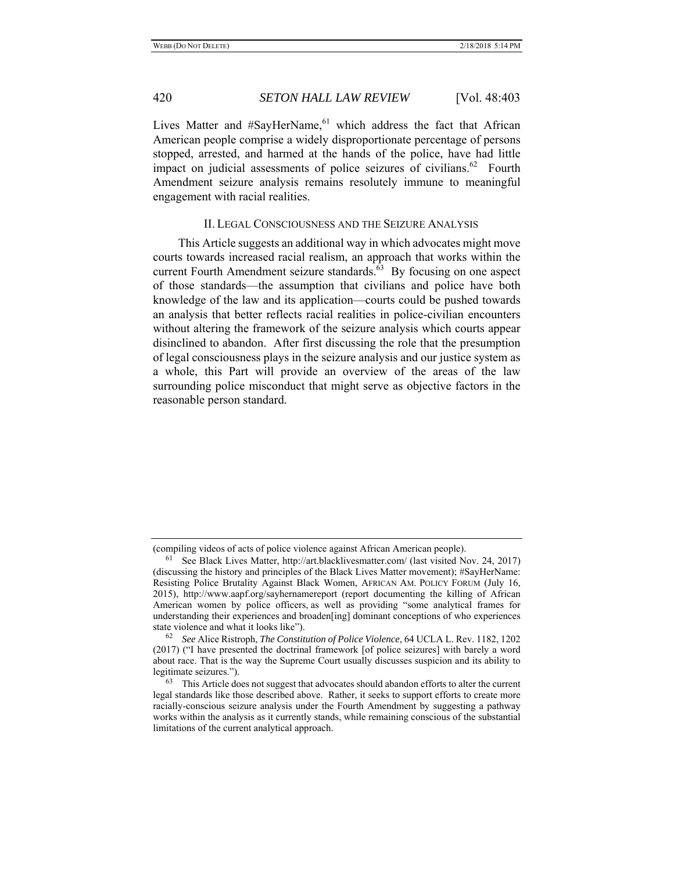Lives Matter and  $#Say HerName, <sup>61</sup>$  which address the fact that African American people comprise a widely disproportionate percentage of persons stopped, arrested, and harmed at the hands of the police, have had little impact on judicial assessments of police seizures of civilians.<sup>62</sup> Fourth Amendment seizure analysis remains resolutely immune to meaningful engagement with racial realities.

### II. LEGAL CONSCIOUSNESS AND THE SEIZURE ANALYSIS

This Article suggests an additional way in which advocates might move courts towards increased racial realism, an approach that works within the current Fourth Amendment seizure standards. $63$  By focusing on one aspect of those standards—the assumption that civilians and police have both knowledge of the law and its application—courts could be pushed towards an analysis that better reflects racial realities in police-civilian encounters without altering the framework of the seizure analysis which courts appear disinclined to abandon. After first discussing the role that the presumption of legal consciousness plays in the seizure analysis and our justice system as a whole, this Part will provide an overview of the areas of the law surrounding police misconduct that might serve as objective factors in the reasonable person standard.

<sup>(</sup>compiling videos of acts of police violence against African American people).

 $61$  See Black Lives Matter, http://art.blacklivesmatter.com/ (last visited Nov. 24, 2017) (discussing the history and principles of the Black Lives Matter movement); #SayHerName: Resisting Police Brutality Against Black Women, AFRICAN AM. POLICY FORUM (July 16, 2015), http://www.aapf.org/sayhernamereport (report documenting the killing of African American women by police officers, as well as providing "some analytical frames for understanding their experiences and broaden[ing] dominant conceptions of who experiences state violence and what it looks like").

<sup>62</sup> *See* Alice Ristroph, *The Constitution of Police Violence*, 64 UCLA L. Rev. 1182, 1202 (2017) ("I have presented the doctrinal framework [of police seizures] with barely a word about race. That is the way the Supreme Court usually discusses suspicion and its ability to legitimate seizures.").

<sup>63</sup> This Article does not suggest that advocates should abandon efforts to alter the current legal standards like those described above. Rather, it seeks to support efforts to create more racially-conscious seizure analysis under the Fourth Amendment by suggesting a pathway works within the analysis as it currently stands, while remaining conscious of the substantial limitations of the current analytical approach.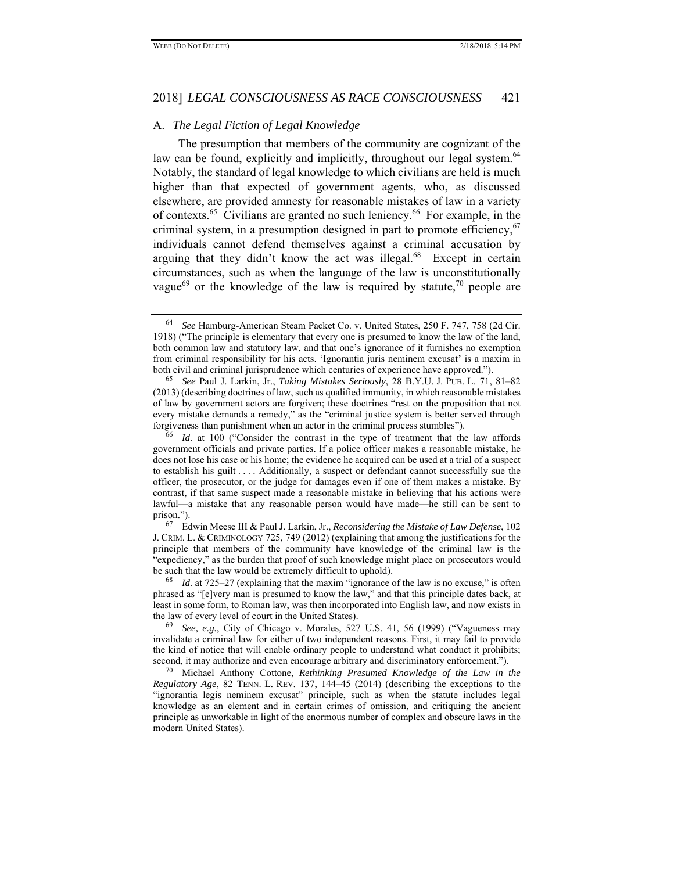### A. *The Legal Fiction of Legal Knowledge*

The presumption that members of the community are cognizant of the law can be found, explicitly and implicitly, throughout our legal system.<sup>64</sup> Notably, the standard of legal knowledge to which civilians are held is much higher than that expected of government agents, who, as discussed elsewhere, are provided amnesty for reasonable mistakes of law in a variety of contexts.65 Civilians are granted no such leniency.66 For example, in the criminal system, in a presumption designed in part to promote efficiency,  $67$ individuals cannot defend themselves against a criminal accusation by arguing that they didn't know the act was illegal. $68$  Except in certain circumstances, such as when the language of the law is unconstitutionally vague<sup>69</sup> or the knowledge of the law is required by statute,<sup>70</sup> people are

<sup>64</sup> *See* Hamburg-American Steam Packet Co. v. United States, 250 F. 747, 758 (2d Cir. 1918) ("The principle is elementary that every one is presumed to know the law of the land, both common law and statutory law, and that one's ignorance of it furnishes no exemption from criminal responsibility for his acts. 'Ignorantia juris neminem excusat' is a maxim in both civil and criminal jurisprudence which centuries of experience have approved.").

both civil and criminal jurisprudence which centuries of experience have approved."). 65 *See* Paul J. Larkin, Jr., *Taking Mistakes Seriously*, 28 B.Y.U. J. PUB. L. 71, 81–82 (2013) (describing doctrines of law, such as qualified immunity, in which reasonable mistakes of law by government actors are forgiven; these doctrines "rest on the proposition that not every mistake demands a remedy," as the "criminal justice system is better served through forgiveness than punishment when an actor in the criminal process stumbles").

<sup>&</sup>lt;sup>66</sup> *Id.* at 100 ("Consider the contrast in the type of treatment that the law affords government officials and private parties. If a police officer makes a reasonable mistake, he does not lose his case or his home; the evidence he acquired can be used at a trial of a suspect to establish his guilt . . . . Additionally, a suspect or defendant cannot successfully sue the officer, the prosecutor, or the judge for damages even if one of them makes a mistake. By contrast, if that same suspect made a reasonable mistake in believing that his actions were lawful—a mistake that any reasonable person would have made—he still can be sent to prison.").

<sup>67</sup> Edwin Meese III & Paul J. Larkin, Jr., *Reconsidering the Mistake of Law Defense*, 102 J. CRIM. L. & CRIMINOLOGY 725, 749 (2012) (explaining that among the justifications for the principle that members of the community have knowledge of the criminal law is the "expediency," as the burden that proof of such knowledge might place on prosecutors would be such that the law would be extremely difficult to uphold).

<sup>68</sup> *Id.* at 725–27 (explaining that the maxim "ignorance of the law is no excuse," is often phrased as "[e]very man is presumed to know the law," and that this principle dates back, at least in some form, to Roman law, was then incorporated into English law, and now exists in the law of every level of court in the United States).

<sup>69</sup> *See, e.g.*, City of Chicago v. Morales, 527 U.S. 41, 56 (1999) ("Vagueness may invalidate a criminal law for either of two independent reasons. First, it may fail to provide the kind of notice that will enable ordinary people to understand what conduct it prohibits; second, it may authorize and even encourage arbitrary and discriminatory enforcement.").

<sup>70</sup> Michael Anthony Cottone, *Rethinking Presumed Knowledge of the Law in the Regulatory Age*, 82 TENN. L. REV. 137, 144–45 (2014) (describing the exceptions to the "ignorantia legis neminem excusat" principle, such as when the statute includes legal knowledge as an element and in certain crimes of omission, and critiquing the ancient principle as unworkable in light of the enormous number of complex and obscure laws in the modern United States).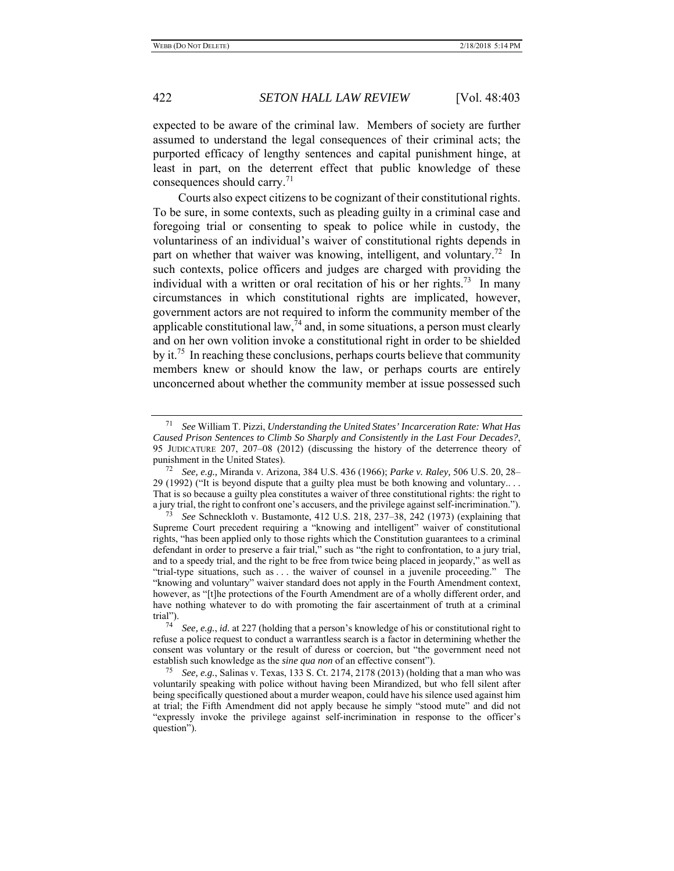expected to be aware of the criminal law. Members of society are further assumed to understand the legal consequences of their criminal acts; the purported efficacy of lengthy sentences and capital punishment hinge, at least in part, on the deterrent effect that public knowledge of these consequences should carry.<sup>71</sup>

Courts also expect citizens to be cognizant of their constitutional rights. To be sure, in some contexts, such as pleading guilty in a criminal case and foregoing trial or consenting to speak to police while in custody, the voluntariness of an individual's waiver of constitutional rights depends in part on whether that waiver was knowing, intelligent, and voluntary.<sup>72</sup> In such contexts, police officers and judges are charged with providing the individual with a written or oral recitation of his or her rights.<sup>73</sup> In many circumstances in which constitutional rights are implicated, however, government actors are not required to inform the community member of the applicable constitutional law,<sup>74</sup> and, in some situations, a person must clearly and on her own volition invoke a constitutional right in order to be shielded by it.<sup>75</sup> In reaching these conclusions, perhaps courts believe that community members knew or should know the law, or perhaps courts are entirely unconcerned about whether the community member at issue possessed such

<sup>71</sup> *See* William T. Pizzi, *Understanding the United States' Incarceration Rate: What Has Caused Prison Sentences to Climb So Sharply and Consistently in the Last Four Decades?*, 95 JUDICATURE 207, 207–08 (2012) (discussing the history of the deterrence theory of punishment in the United States).

<sup>72</sup> *See, e.g.,* Miranda v. Arizona, 384 U.S. 436 (1966); *Parke v. Raley,* 506 U.S. 20, 28– 29 (1992) ("It is beyond dispute that a guilty plea must be both knowing and voluntary.. . . That is so because a guilty plea constitutes a waiver of three constitutional rights: the right to a jury trial, the right to confront one's accusers, and the privilege against self-incrimination.").

<sup>73</sup> *See* Schneckloth v. Bustamonte, 412 U.S. 218, 237–38, 242 (1973) (explaining that Supreme Court precedent requiring a "knowing and intelligent" waiver of constitutional rights, "has been applied only to those rights which the Constitution guarantees to a criminal defendant in order to preserve a fair trial," such as "the right to confrontation, to a jury trial, and to a speedy trial, and the right to be free from twice being placed in jeopardy," as well as "trial-type situations, such as . . . the waiver of counsel in a juvenile proceeding." The "knowing and voluntary" waiver standard does not apply in the Fourth Amendment context, however, as "[t]he protections of the Fourth Amendment are of a wholly different order, and have nothing whatever to do with promoting the fair ascertainment of truth at a criminal trial").

<sup>74</sup> *See, e.g.*, *id.* at 227 (holding that a person's knowledge of his or constitutional right to refuse a police request to conduct a warrantless search is a factor in determining whether the consent was voluntary or the result of duress or coercion, but "the government need not establish such knowledge as the *sine qua non* of an effective consent"). 75 *See, e.g.*, Salinas v. Texas, 133 S. Ct. 2174, 2178 (2013) (holding that a man who was

voluntarily speaking with police without having been Mirandized, but who fell silent after being specifically questioned about a murder weapon, could have his silence used against him at trial; the Fifth Amendment did not apply because he simply "stood mute" and did not "expressly invoke the privilege against self-incrimination in response to the officer's question").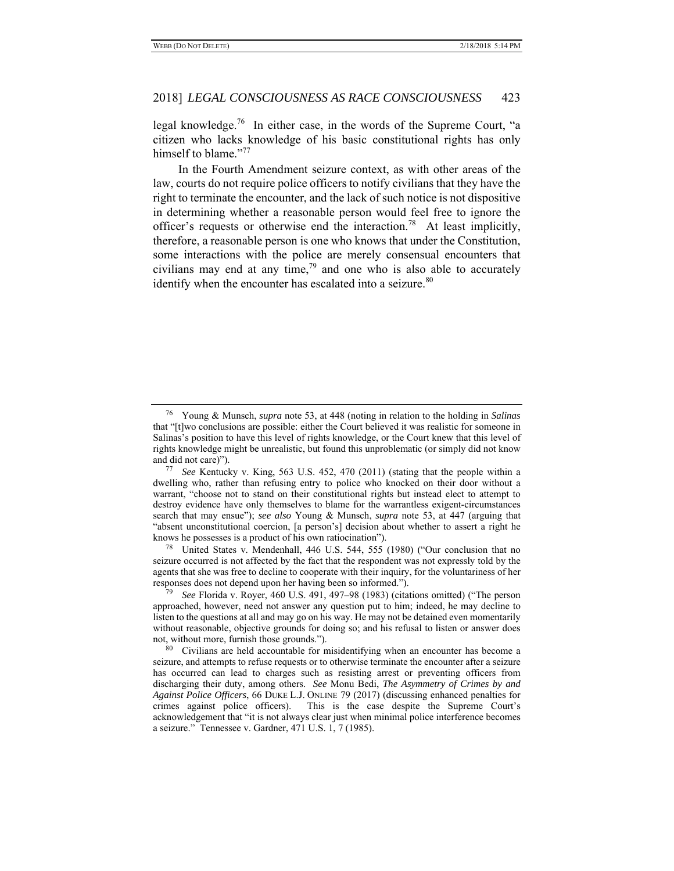legal knowledge.<sup>76</sup> In either case, in the words of the Supreme Court, "a citizen who lacks knowledge of his basic constitutional rights has only himself to blame."<sup>77</sup>

In the Fourth Amendment seizure context, as with other areas of the law, courts do not require police officers to notify civilians that they have the right to terminate the encounter, and the lack of such notice is not dispositive in determining whether a reasonable person would feel free to ignore the officer's requests or otherwise end the interaction.<sup>78</sup> At least implicitly, therefore, a reasonable person is one who knows that under the Constitution, some interactions with the police are merely consensual encounters that civilians may end at any time, $79$  and one who is also able to accurately identify when the encounter has escalated into a seizure.<sup>80</sup>

78 United States v. Mendenhall, 446 U.S. 544, 555 (1980) ("Our conclusion that no seizure occurred is not affected by the fact that the respondent was not expressly told by the agents that she was free to decline to cooperate with their inquiry, for the voluntariness of her responses does not depend upon her having been so informed."). 79 *See* Florida v. Royer, 460 U.S. 491, 497–98 (1983) (citations omitted) ("The person

approached, however, need not answer any question put to him; indeed, he may decline to listen to the questions at all and may go on his way. He may not be detained even momentarily without reasonable, objective grounds for doing so; and his refusal to listen or answer does not, without more, furnish those grounds.").

<sup>80</sup> Civilians are held accountable for misidentifying when an encounter has become a seizure, and attempts to refuse requests or to otherwise terminate the encounter after a seizure has occurred can lead to charges such as resisting arrest or preventing officers from discharging their duty, among others. *See* Monu Bedi, *The Asymmetry of Crimes by and Against Police Officers*, 66 DUKE L.J. ONLINE 79 (2017) (discussing enhanced penalties for crimes against police officers). This is the case despite the Supreme Court's acknowledgement that "it is not always clear just when minimal police interference becomes a seizure." Tennessee v. Gardner, 471 U.S. 1, 7 (1985).

<sup>76</sup> Young & Munsch, *supra* note 53, at 448 (noting in relation to the holding in *Salinas* that "[t]wo conclusions are possible: either the Court believed it was realistic for someone in Salinas's position to have this level of rights knowledge, or the Court knew that this level of rights knowledge might be unrealistic, but found this unproblematic (or simply did not know and did not care)").<br><sup>77</sup> *See* Kentucky v. King, 563 U.S. 452, 470 (2011) (stating that the people within a

dwelling who, rather than refusing entry to police who knocked on their door without a warrant, "choose not to stand on their constitutional rights but instead elect to attempt to destroy evidence have only themselves to blame for the warrantless exigent-circumstances search that may ensue"); *see also* Young & Munsch, *supra* note 53, at 447 (arguing that "absent unconstitutional coercion, [a person's] decision about whether to assert a right he knows he possesses is a product of his own ratiocination").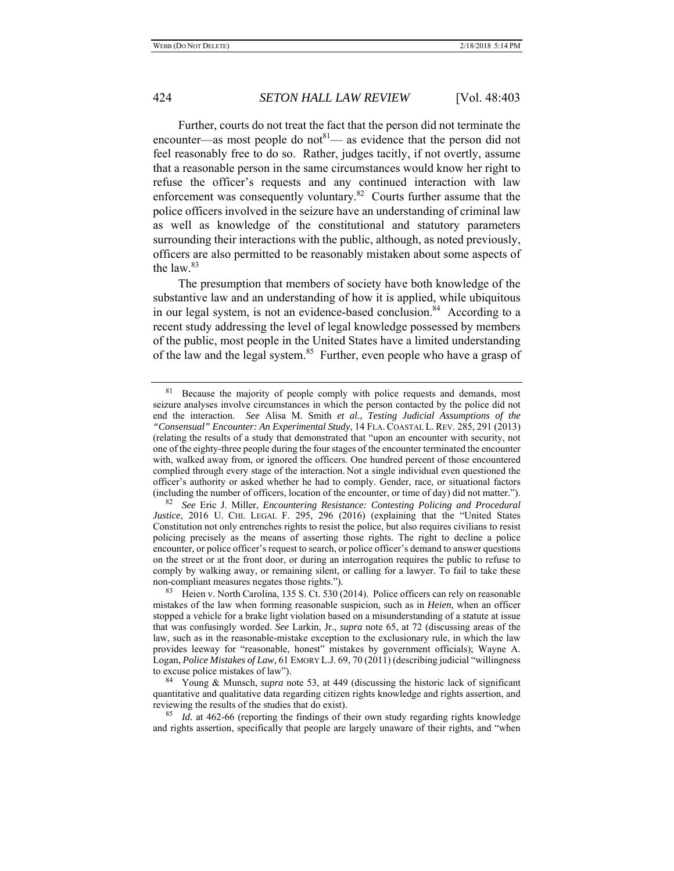Further, courts do not treat the fact that the person did not terminate the encounter—as most people do not $81$ — as evidence that the person did not feel reasonably free to do so. Rather, judges tacitly, if not overtly, assume that a reasonable person in the same circumstances would know her right to refuse the officer's requests and any continued interaction with law enforcement was consequently voluntary. $82$  Courts further assume that the police officers involved in the seizure have an understanding of criminal law as well as knowledge of the constitutional and statutory parameters surrounding their interactions with the public, although, as noted previously, officers are also permitted to be reasonably mistaken about some aspects of the law. $83$ 

The presumption that members of society have both knowledge of the substantive law and an understanding of how it is applied, while ubiquitous in our legal system, is not an evidence-based conclusion.<sup>84</sup> According to a recent study addressing the level of legal knowledge possessed by members of the public, most people in the United States have a limited understanding of the law and the legal system.<sup>85</sup> Further, even people who have a grasp of

Because the majority of people comply with police requests and demands, most seizure analyses involve circumstances in which the person contacted by the police did not end the interaction. *See* Alisa M. Smith *et al., Testing Judicial Assumptions of the "Consensual" Encounter: An Experimental Study*, 14 FLA. COASTAL L. REV. 285, 291 (2013) (relating the results of a study that demonstrated that "upon an encounter with security, not one of the eighty-three people during the four stages of the encounter terminated the encounter with, walked away from, or ignored the officers. One hundred percent of those encountered complied through every stage of the interaction. Not a single individual even questioned the officer's authority or asked whether he had to comply. Gender, race, or situational factors (including the number of officers, location of the encounter, or time of day) did not matter.").

<sup>82</sup> *See* Eric J. Miller, *Encountering Resistance: Contesting Policing and Procedural Justice*, 2016 U. CHI. LEGAL F. 295, 296 (2016) (explaining that the "United States Constitution not only entrenches rights to resist the police, but also requires civilians to resist policing precisely as the means of asserting those rights. The right to decline a police encounter, or police officer's request to search, or police officer's demand to answer questions on the street or at the front door, or during an interrogation requires the public to refuse to comply by walking away, or remaining silent, or calling for a lawyer. To fail to take these non-compliant measures negates those rights.").

<sup>83</sup>Heien v. North Carolina, 135 S. Ct. 530 (2014). Police officers can rely on reasonable mistakes of the law when forming reasonable suspicion, such as in *Heien*, when an officer stopped a vehicle for a brake light violation based on a misunderstanding of a statute at issue that was confusingly worded. *See* Larkin, Jr., *supra* note 65, at 72 (discussing areas of the law, such as in the reasonable-mistake exception to the exclusionary rule, in which the law provides leeway for "reasonable, honest" mistakes by government officials); Wayne A. Logan, *Police Mistakes of Law*, 61 EMORY L.J. 69, 70 (2011) (describing judicial "willingness to excuse police mistakes of law").

Young & Munsch, *supra* note 53, at 449 (discussing the historic lack of significant quantitative and qualitative data regarding citizen rights knowledge and rights assertion, and reviewing the results of the studies that do exist).

<sup>85</sup> *Id.* at 462-66 (reporting the findings of their own study regarding rights knowledge and rights assertion, specifically that people are largely unaware of their rights, and "when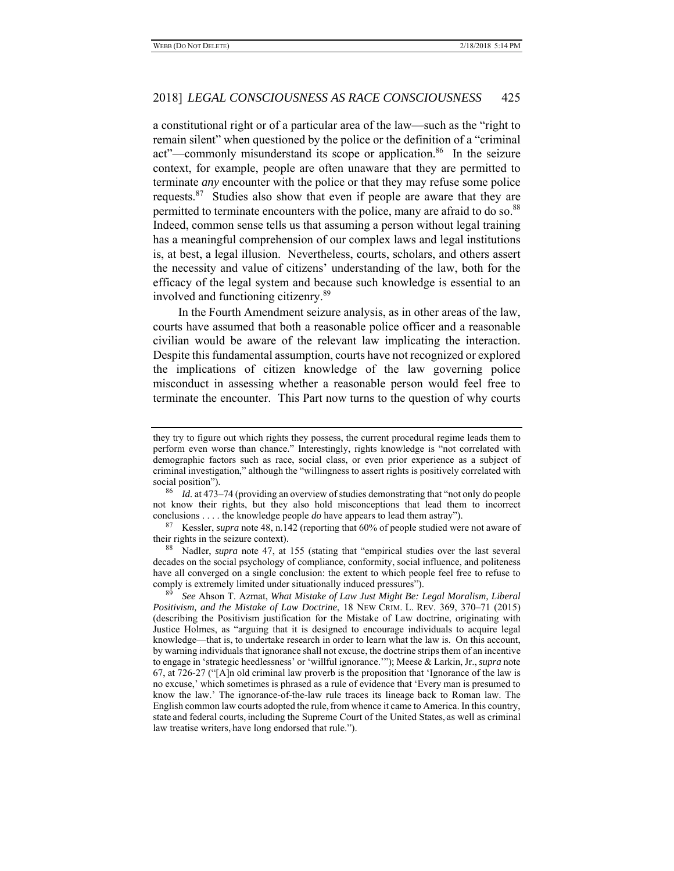a constitutional right or of a particular area of the law—such as the "right to remain silent" when questioned by the police or the definition of a "criminal act"—commonly misunderstand its scope or application.<sup>86</sup> In the seizure context, for example, people are often unaware that they are permitted to terminate *any* encounter with the police or that they may refuse some police requests. $87$  Studies also show that even if people are aware that they are permitted to terminate encounters with the police, many are afraid to do so.<sup>88</sup> Indeed, common sense tells us that assuming a person without legal training has a meaningful comprehension of our complex laws and legal institutions is, at best, a legal illusion. Nevertheless, courts, scholars, and others assert the necessity and value of citizens' understanding of the law, both for the efficacy of the legal system and because such knowledge is essential to an involved and functioning citizenry.89

In the Fourth Amendment seizure analysis, as in other areas of the law, courts have assumed that both a reasonable police officer and a reasonable civilian would be aware of the relevant law implicating the interaction. Despite this fundamental assumption, courts have not recognized or explored the implications of citizen knowledge of the law governing police misconduct in assessing whether a reasonable person would feel free to terminate the encounter. This Part now turns to the question of why courts

they try to figure out which rights they possess, the current procedural regime leads them to perform even worse than chance." Interestingly, rights knowledge is "not correlated with demographic factors such as race, social class, or even prior experience as a subject of criminal investigation," although the "willingness to assert rights is positively correlated with social position"). 86 *Id.* at 473–74 (providing an overview of studies demonstrating that "not only do people

not know their rights, but they also hold misconceptions that lead them to incorrect conclusions . . . . the knowledge people *do* have appears to lead them astray").

<sup>87</sup> Kessler, *supra* note 48, n.142 (reporting that 60% of people studied were not aware of their rights in the seizure context).

<sup>88</sup> Nadler, *supra* note 47, at 155 (stating that "empirical studies over the last several decades on the social psychology of compliance, conformity, social influence, and politeness have all converged on a single conclusion: the extent to which people feel free to refuse to comply is extremely limited under situationally induced pressures").

<sup>89</sup> *See* Ahson T. Azmat, *What Mistake of Law Just Might Be: Legal Moralism, Liberal Positivism, and the Mistake of Law Doctrine*, 18 NEW CRIM. L. REV. 369, 370–71 (2015) (describing the Positivism justification for the Mistake of Law doctrine, originating with Justice Holmes, as "arguing that it is designed to encourage individuals to acquire legal knowledge—that is, to undertake research in order to learn what the law is. On this account, by warning individuals that ignorance shall not excuse, the doctrine strips them of an incentive to engage in 'strategic heedlessness' or 'willful ignorance.'"); Meese & Larkin, Jr., *supra* note 67, at 726-27 ("[A]n old criminal law proverb is the proposition that 'Ignorance of the law is no excuse,' which sometimes is phrased as a rule of evidence that 'Every man is presumed to know the law.' The ignorance-of-the-law rule traces its lineage back to Roman law. The English common law courts adopted the rule,from whence it came to America. In this country, state and federal courts, including the Supreme Court of the United States, as well as criminal law treatise writers, have long endorsed that rule.").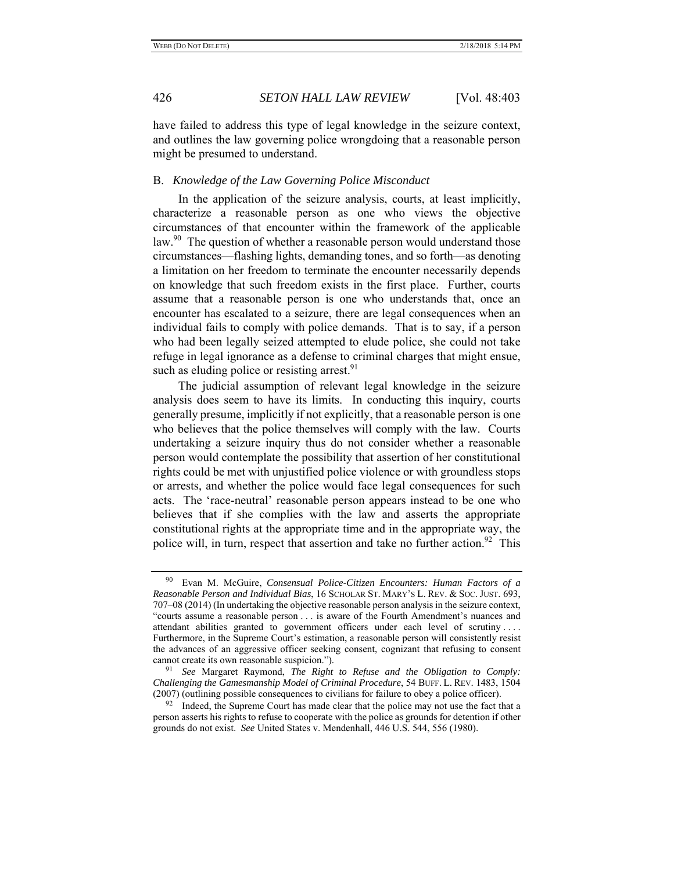have failed to address this type of legal knowledge in the seizure context, and outlines the law governing police wrongdoing that a reasonable person might be presumed to understand.

#### B. *Knowledge of the Law Governing Police Misconduct*

In the application of the seizure analysis, courts, at least implicitly, characterize a reasonable person as one who views the objective circumstances of that encounter within the framework of the applicable law.<sup>90</sup> The question of whether a reasonable person would understand those circumstances—flashing lights, demanding tones, and so forth—as denoting a limitation on her freedom to terminate the encounter necessarily depends on knowledge that such freedom exists in the first place. Further, courts assume that a reasonable person is one who understands that, once an encounter has escalated to a seizure, there are legal consequences when an individual fails to comply with police demands. That is to say, if a person who had been legally seized attempted to elude police, she could not take refuge in legal ignorance as a defense to criminal charges that might ensue, such as eluding police or resisting arrest.<sup>91</sup>

The judicial assumption of relevant legal knowledge in the seizure analysis does seem to have its limits. In conducting this inquiry, courts generally presume, implicitly if not explicitly, that a reasonable person is one who believes that the police themselves will comply with the law. Courts undertaking a seizure inquiry thus do not consider whether a reasonable person would contemplate the possibility that assertion of her constitutional rights could be met with unjustified police violence or with groundless stops or arrests, and whether the police would face legal consequences for such acts. The 'race-neutral' reasonable person appears instead to be one who believes that if she complies with the law and asserts the appropriate constitutional rights at the appropriate time and in the appropriate way, the police will, in turn, respect that assertion and take no further action.<sup>92</sup> This

<sup>90</sup> Evan M. McGuire, *Consensual Police-Citizen Encounters: Human Factors of a Reasonable Person and Individual Bias*, 16 SCHOLAR ST. MARY'S L. REV. & SOC. JUST. 693, 707–08 (2014) (In undertaking the objective reasonable person analysis in the seizure context, "courts assume a reasonable person . . . is aware of the Fourth Amendment's nuances and attendant abilities granted to government officers under each level of scrutiny . . . . Furthermore, in the Supreme Court's estimation, a reasonable person will consistently resist the advances of an aggressive officer seeking consent, cognizant that refusing to consent cannot create its own reasonable suspicion.").

<sup>91</sup> *See* Margaret Raymond, *The Right to Refuse and the Obligation to Comply: Challenging the Gamesmanship Model of Criminal Procedure*, 54 BUFF. L. REV. 1483, 1504 (2007) (outlining possible consequences to civilians for failure to obey a police officer).

 $92$  Indeed, the Supreme Court has made clear that the police may not use the fact that a person asserts his rights to refuse to cooperate with the police as grounds for detention if other grounds do not exist. *See* United States v. Mendenhall, 446 U.S. 544, 556 (1980).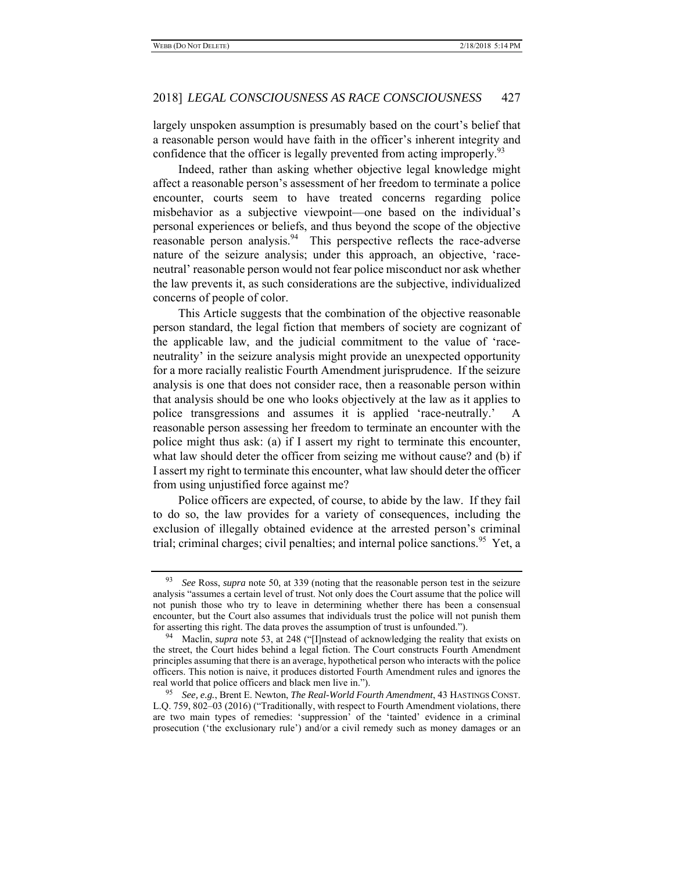largely unspoken assumption is presumably based on the court's belief that a reasonable person would have faith in the officer's inherent integrity and confidence that the officer is legally prevented from acting improperly.<sup>93</sup>

Indeed, rather than asking whether objective legal knowledge might affect a reasonable person's assessment of her freedom to terminate a police encounter, courts seem to have treated concerns regarding police misbehavior as a subjective viewpoint—one based on the individual's personal experiences or beliefs, and thus beyond the scope of the objective reasonable person analysis.<sup>94</sup> This perspective reflects the race-adverse nature of the seizure analysis; under this approach, an objective, 'raceneutral' reasonable person would not fear police misconduct nor ask whether the law prevents it, as such considerations are the subjective, individualized concerns of people of color.

This Article suggests that the combination of the objective reasonable person standard, the legal fiction that members of society are cognizant of the applicable law, and the judicial commitment to the value of 'raceneutrality' in the seizure analysis might provide an unexpected opportunity for a more racially realistic Fourth Amendment jurisprudence. If the seizure analysis is one that does not consider race, then a reasonable person within that analysis should be one who looks objectively at the law as it applies to police transgressions and assumes it is applied 'race-neutrally.' A reasonable person assessing her freedom to terminate an encounter with the police might thus ask: (a) if I assert my right to terminate this encounter, what law should deter the officer from seizing me without cause? and (b) if I assert my right to terminate this encounter, what law should deter the officer from using unjustified force against me?

Police officers are expected, of course, to abide by the law. If they fail to do so, the law provides for a variety of consequences, including the exclusion of illegally obtained evidence at the arrested person's criminal trial; criminal charges; civil penalties; and internal police sanctions.<sup>95</sup> Yet, a

<sup>93</sup> *See* Ross, *supra* note 50, at 339 (noting that the reasonable person test in the seizure analysis "assumes a certain level of trust. Not only does the Court assume that the police will not punish those who try to leave in determining whether there has been a consensual encounter, but the Court also assumes that individuals trust the police will not punish them for asserting this right. The data proves the assumption of trust is unfounded.").

<sup>94</sup> Maclin, *supra* note 53, at 248 ("[I]nstead of acknowledging the reality that exists on the street, the Court hides behind a legal fiction. The Court constructs Fourth Amendment principles assuming that there is an average, hypothetical person who interacts with the police officers. This notion is naive, it produces distorted Fourth Amendment rules and ignores the real world that police officers and black men live in.").

<sup>95</sup> *See, e.g.*, Brent E. Newton, *The Real-World Fourth Amendment*, 43 HASTINGS CONST. L.Q. 759, 802–03 (2016) ("Traditionally, with respect to Fourth Amendment violations, there are two main types of remedies: 'suppression' of the 'tainted' evidence in a criminal prosecution ('the exclusionary rule') and/or a civil remedy such as money damages or an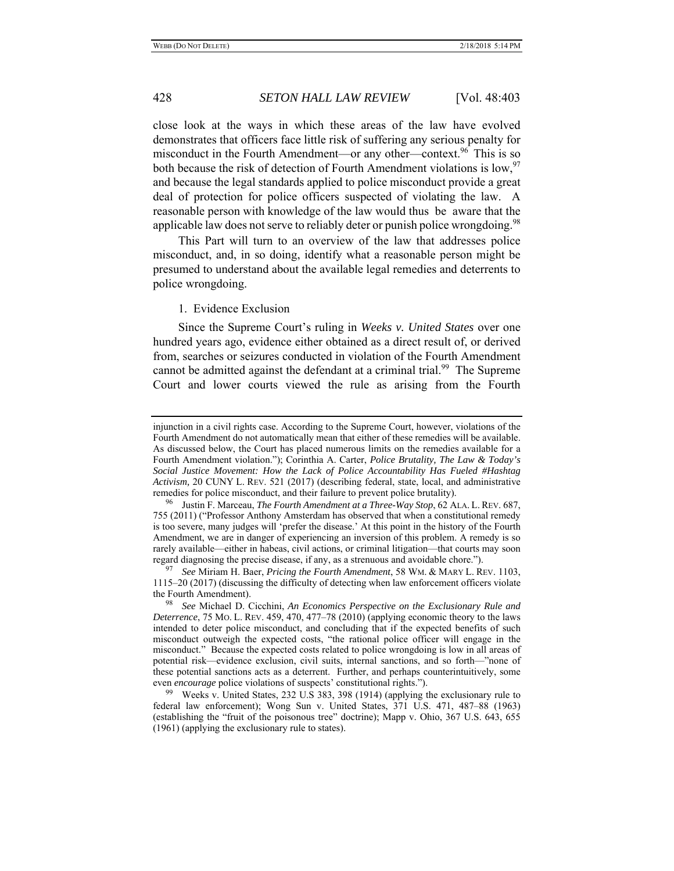close look at the ways in which these areas of the law have evolved demonstrates that officers face little risk of suffering any serious penalty for misconduct in the Fourth Amendment—or any other—context.96This is so both because the risk of detection of Fourth Amendment violations is low,  $97$ and because the legal standards applied to police misconduct provide a great deal of protection for police officers suspected of violating the law. A reasonable person with knowledge of the law would thus be aware that the applicable law does not serve to reliably deter or punish police wrongdoing.<sup>98</sup>

This Part will turn to an overview of the law that addresses police misconduct, and, in so doing, identify what a reasonable person might be presumed to understand about the available legal remedies and deterrents to police wrongdoing.

### 1. Evidence Exclusion

Since the Supreme Court's ruling in *Weeks v. United States* over one hundred years ago, evidence either obtained as a direct result of, or derived from, searches or seizures conducted in violation of the Fourth Amendment cannot be admitted against the defendant at a criminal trial.<sup>99</sup> The Supreme Court and lower courts viewed the rule as arising from the Fourth

injunction in a civil rights case. According to the Supreme Court, however, violations of the Fourth Amendment do not automatically mean that either of these remedies will be available. As discussed below, the Court has placed numerous limits on the remedies available for a Fourth Amendment violation."); Corinthia A. Carter, *Police Brutality, The Law & Today's Social Justice Movement: How the Lack of Police Accountability Has Fueled #Hashtag Activism,* 20 CUNY L. REV. 521 (2017) (describing federal, state, local, and administrative remedies for police misconduct, and their failure to prevent police brutality).

<sup>96</sup> Justin F. Marceau, *The Fourth Amendment at a Three-Way Stop*, 62 ALA. L. REV. 687, 755 (2011) ("Professor Anthony Amsterdam has observed that when a constitutional remedy is too severe, many judges will 'prefer the disease.' At this point in the history of the Fourth Amendment, we are in danger of experiencing an inversion of this problem. A remedy is so rarely available—either in habeas, civil actions, or criminal litigation—that courts may soon regard diagnosing the precise disease, if any, as a strenuous and avoidable chore.").

<sup>97</sup> *See* Miriam H. Baer, *Pricing the Fourth Amendment*, 58 WM. & MARY L. REV. 1103, 1115–20 (2017) (discussing the difficulty of detecting when law enforcement officers violate the Fourth Amendment).

<sup>98</sup> *See* Michael D. Cicchini, *An Economics Perspective on the Exclusionary Rule and Deterrence*, 75 MO. L. REV. 459, 470, 477–78 (2010) (applying economic theory to the laws intended to deter police misconduct, and concluding that if the expected benefits of such misconduct outweigh the expected costs, "the rational police officer will engage in the misconduct." Because the expected costs related to police wrongdoing is low in all areas of potential risk—evidence exclusion, civil suits, internal sanctions, and so forth—"none of these potential sanctions acts as a deterrent. Further, and perhaps counterintuitively, some even *encourage* police violations of suspects' constitutional rights.").

<sup>99</sup> Weeks v. United States, 232 U.S 383, 398 (1914) (applying the exclusionary rule to federal law enforcement); Wong Sun v. United States, 371 U.S. 471, 487–88 (1963) (establishing the "fruit of the poisonous tree" doctrine); Mapp v. Ohio, 367 U.S. 643, 655 (1961) (applying the exclusionary rule to states).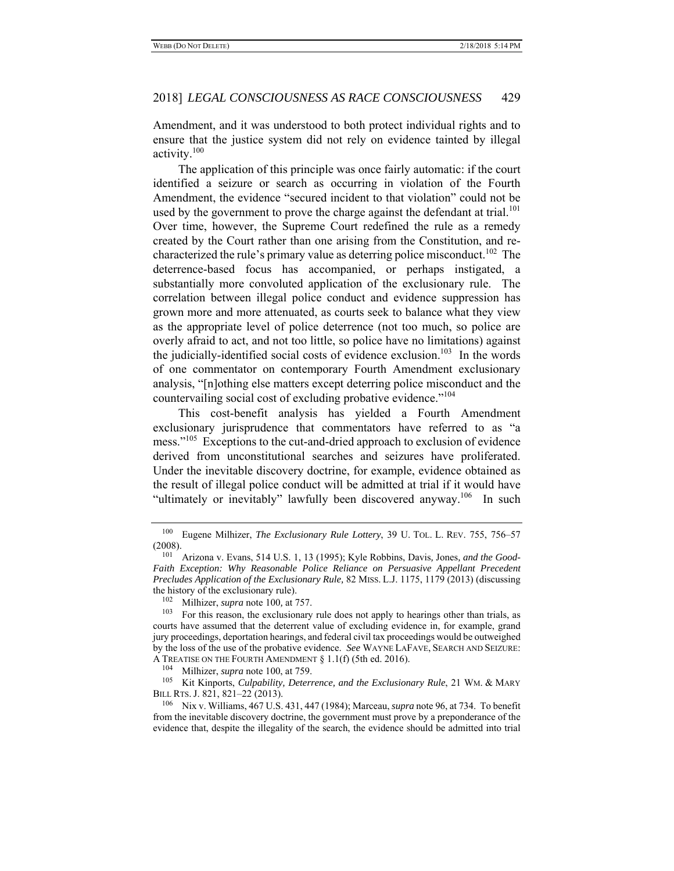Amendment, and it was understood to both protect individual rights and to ensure that the justice system did not rely on evidence tainted by illegal activity.100

The application of this principle was once fairly automatic: if the court identified a seizure or search as occurring in violation of the Fourth Amendment, the evidence "secured incident to that violation" could not be used by the government to prove the charge against the defendant at trial.<sup>101</sup> Over time, however, the Supreme Court redefined the rule as a remedy created by the Court rather than one arising from the Constitution, and recharacterized the rule's primary value as deterring police misconduct.<sup>102</sup> The deterrence-based focus has accompanied, or perhaps instigated, a substantially more convoluted application of the exclusionary rule. The correlation between illegal police conduct and evidence suppression has grown more and more attenuated, as courts seek to balance what they view as the appropriate level of police deterrence (not too much, so police are overly afraid to act, and not too little, so police have no limitations) against the judicially-identified social costs of evidence exclusion.<sup>103</sup> In the words of one commentator on contemporary Fourth Amendment exclusionary analysis, "[n]othing else matters except deterring police misconduct and the countervailing social cost of excluding probative evidence."<sup>104</sup>

This cost-benefit analysis has yielded a Fourth Amendment exclusionary jurisprudence that commentators have referred to as "a mess."<sup>105</sup> Exceptions to the cut-and-dried approach to exclusion of evidence derived from unconstitutional searches and seizures have proliferated. Under the inevitable discovery doctrine, for example, evidence obtained as the result of illegal police conduct will be admitted at trial if it would have "ultimately or inevitably" lawfully been discovered anyway.<sup>106</sup> In such

Kit Kinports, *Culpability, Deterrence, and the Exclusionary Rule*, 21 WM. & MARY BILL RTS. J. 821, 821–22 (2013).

<sup>100</sup> Eugene Milhizer, *The Exclusionary Rule Lottery*, 39 U. TOL. L. REV. 755, 756–57 (2008).

Arizona v. Evans, 514 U.S. 1, 13 (1995); Kyle Robbins, Davis, Jones, and the Good-*Faith Exception: Why Reasonable Police Reliance on Persuasive Appellant Precedent Precludes Application of the Exclusionary Rule,* 82 MISS. L.J. 1175, 1179 (2013) (discussing the history of the exclusionary rule).

<sup>102</sup> Milhizer, *supra* note 100*,* at 757.

<sup>&</sup>lt;sup>103</sup> For this reason, the exclusionary rule does not apply to hearings other than trials, as courts have assumed that the deterrent value of excluding evidence in, for example, grand jury proceedings, deportation hearings, and federal civil tax proceedings would be outweighed by the loss of the use of the probative evidence. *See* WAYNE LAFAVE, SEARCH AND SEIZURE: A TREATISE ON THE FOURTH AMENDMENT  $\S$  1.1(f) (5th ed. 2016).

<sup>&</sup>lt;sup>104</sup> Milhizer, *supra* note 100, at 759.<br><sup>105</sup> Kit Kinnorta, *Culpability*, *Detail* 

<sup>106</sup> Nix v. Williams, 467 U.S. 431, 447 (1984); Marceau, *supra* note 96, at 734. To benefit from the inevitable discovery doctrine, the government must prove by a preponderance of the evidence that, despite the illegality of the search, the evidence should be admitted into trial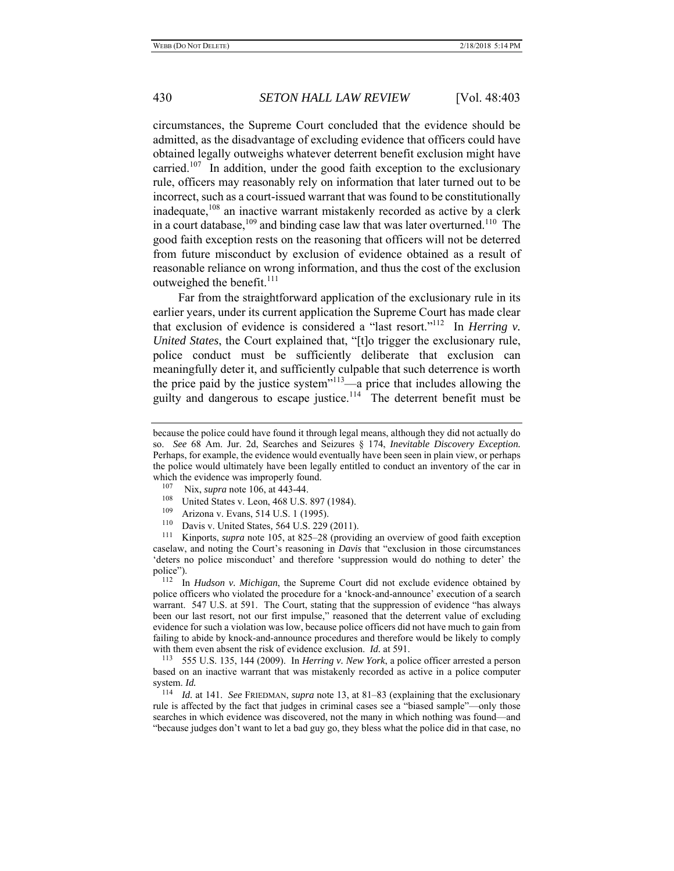circumstances, the Supreme Court concluded that the evidence should be admitted, as the disadvantage of excluding evidence that officers could have obtained legally outweighs whatever deterrent benefit exclusion might have carried.<sup>107</sup> In addition, under the good faith exception to the exclusionary rule, officers may reasonably rely on information that later turned out to be incorrect, such as a court-issued warrant that was found to be constitutionally inadequate, $108$  an inactive warrant mistakenly recorded as active by a clerk in a court database,  $^{109}$  and binding case law that was later overturned.<sup>110</sup> The good faith exception rests on the reasoning that officers will not be deterred from future misconduct by exclusion of evidence obtained as a result of reasonable reliance on wrong information, and thus the cost of the exclusion outweighed the benefit. $^{111}$ 

Far from the straightforward application of the exclusionary rule in its earlier years, under its current application the Supreme Court has made clear that exclusion of evidence is considered a "last resort."112 In *Herring v. United States*, the Court explained that, "[t]o trigger the exclusionary rule, police conduct must be sufficiently deliberate that exclusion can meaningfully deter it, and sufficiently culpable that such deterrence is worth the price paid by the justice system"113—a price that includes allowing the guilty and dangerous to escape justice.<sup>114</sup> The deterrent benefit must be

- $\frac{107}{108}$  Nix, *supra* note 106, at 443-44.
- <sup>108</sup> United States v. Leon, 468 U.S. 897 (1984).<br><sup>109</sup> Arizona v. Evans, 514 U.S. 1 (1995).
- Arizona v. Evans, 514 U.S. 1 (1995).
- 

110 Davis v. United States*,* 564 U.S. 229 (2011). 111 Kinports, *supra* note 105, at 825–28 (providing an overview of good faith exception caselaw, and noting the Court's reasoning in *Davis* that "exclusion in those circumstances 'deters no police misconduct' and therefore 'suppression would do nothing to deter' the

<sup>112</sup> In *Hudson v. Michigan*, the Supreme Court did not exclude evidence obtained by police officers who violated the procedure for a 'knock-and-announce' execution of a search warrant. 547 U.S. at 591. The Court, stating that the suppression of evidence "has always been our last resort, not our first impulse," reasoned that the deterrent value of excluding evidence for such a violation was low, because police officers did not have much to gain from failing to abide by knock-and-announce procedures and therefore would be likely to comply with them even absent the risk of evidence exclusion. *Id.* at 591.

113 555 U.S. 135, 144 (2009). In *Herring v. New York*, a police officer arrested a person based on an inactive warrant that was mistakenly recorded as active in a police computer system. *Id.* 

114 *Id.* at 141. *See* FRIEDMAN, *supra* note 13, at 81–83 (explaining that the exclusionary rule is affected by the fact that judges in criminal cases see a "biased sample"—only those searches in which evidence was discovered, not the many in which nothing was found—and "because judges don't want to let a bad guy go, they bless what the police did in that case, no

because the police could have found it through legal means, although they did not actually do so. *See* 68 Am. Jur. 2d, Searches and Seizures § 174, *Inevitable Discovery Exception.*  Perhaps, for example, the evidence would eventually have been seen in plain view, or perhaps the police would ultimately have been legally entitled to conduct an inventory of the car in which the evidence was improperly found.<br> $\frac{107}{107}$  Niv sung note 106 at 443 44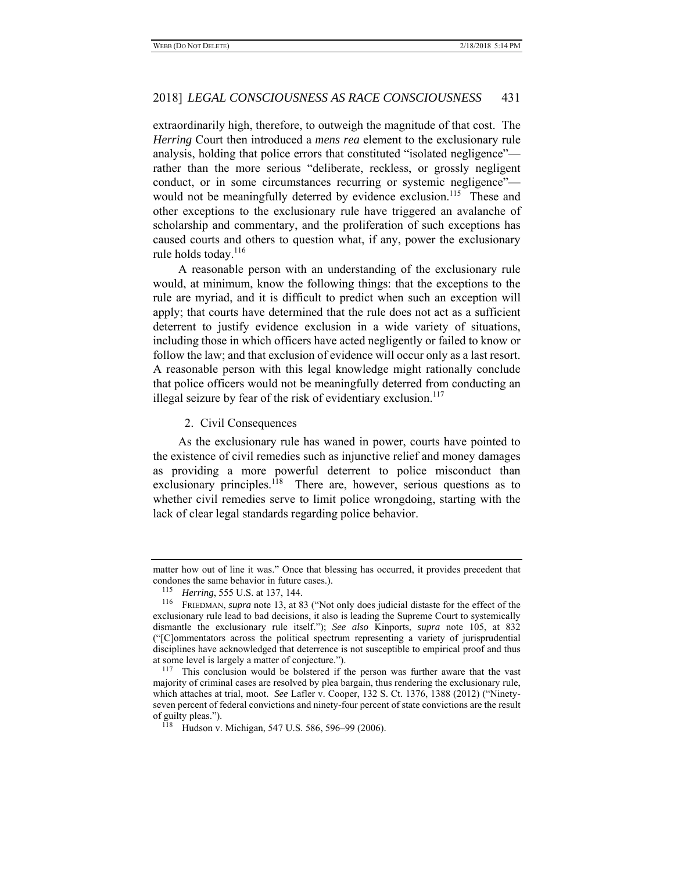extraordinarily high, therefore, to outweigh the magnitude of that cost. The *Herring* Court then introduced a *mens rea* element to the exclusionary rule analysis, holding that police errors that constituted "isolated negligence" rather than the more serious "deliberate, reckless, or grossly negligent conduct, or in some circumstances recurring or systemic negligence" would not be meaningfully deterred by evidence exclusion.<sup>115</sup> These and other exceptions to the exclusionary rule have triggered an avalanche of scholarship and commentary, and the proliferation of such exceptions has caused courts and others to question what, if any, power the exclusionary rule holds today. $116$ 

A reasonable person with an understanding of the exclusionary rule would, at minimum, know the following things: that the exceptions to the rule are myriad, and it is difficult to predict when such an exception will apply; that courts have determined that the rule does not act as a sufficient deterrent to justify evidence exclusion in a wide variety of situations, including those in which officers have acted negligently or failed to know or follow the law; and that exclusion of evidence will occur only as a last resort. A reasonable person with this legal knowledge might rationally conclude that police officers would not be meaningfully deterred from conducting an illegal seizure by fear of the risk of evidentiary exclusion.<sup>117</sup>

2. Civil Consequences

As the exclusionary rule has waned in power, courts have pointed to the existence of civil remedies such as injunctive relief and money damages as providing a more powerful deterrent to police misconduct than exclusionary principles. $118$  There are, however, serious questions as to whether civil remedies serve to limit police wrongdoing, starting with the lack of clear legal standards regarding police behavior.

matter how out of line it was." Once that blessing has occurred, it provides precedent that condones the same behavior in future cases.).

<sup>115</sup> *Herring*, 555 U.S. at 137, 144.

<sup>116</sup> FRIEDMAN, *supra* note 13, at 83 ("Not only does judicial distaste for the effect of the exclusionary rule lead to bad decisions, it also is leading the Supreme Court to systemically dismantle the exclusionary rule itself."); *See also* Kinports, *supra* note 105, at 832 ("[C]ommentators across the political spectrum representing a variety of jurisprudential disciplines have acknowledged that deterrence is not susceptible to empirical proof and thus at some level is largely a matter of conjecture.").

<sup>117</sup> This conclusion would be bolstered if the person was further aware that the vast majority of criminal cases are resolved by plea bargain, thus rendering the exclusionary rule, which attaches at trial, moot. *See* Lafler v. Cooper, 132 S. Ct. 1376, 1388 (2012) ("Ninetyseven percent of federal convictions and ninety-four percent of state convictions are the result of guilty pleas.").

<sup>118</sup> Hudson v. Michigan, 547 U.S. 586, 596–99 (2006).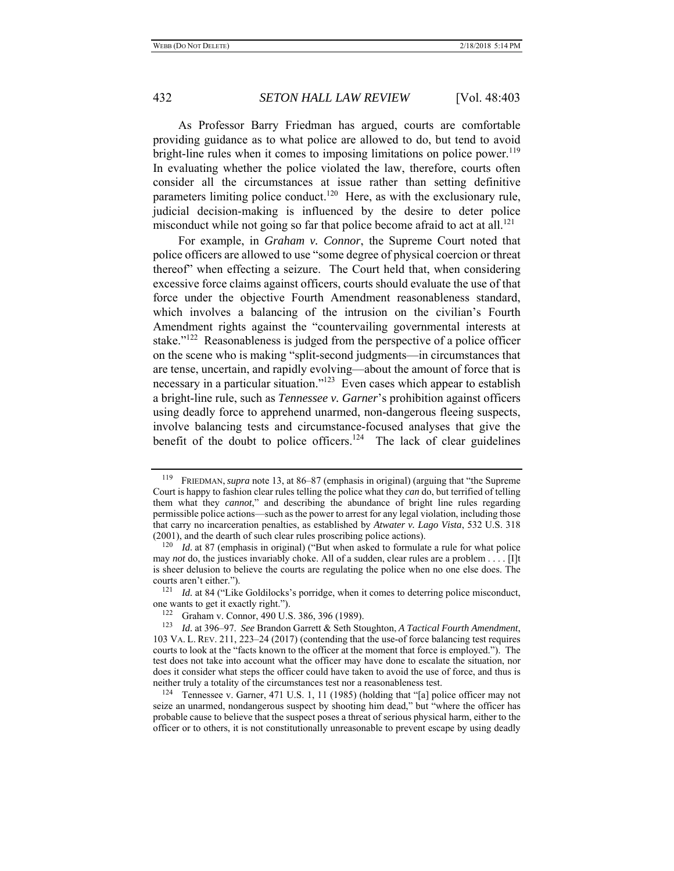As Professor Barry Friedman has argued, courts are comfortable providing guidance as to what police are allowed to do, but tend to avoid bright-line rules when it comes to imposing limitations on police power.<sup>119</sup> In evaluating whether the police violated the law, therefore, courts often consider all the circumstances at issue rather than setting definitive parameters limiting police conduct.<sup>120</sup> Here, as with the exclusionary rule, judicial decision-making is influenced by the desire to deter police misconduct while not going so far that police become afraid to act at all.<sup>121</sup>

For example, in *Graham v. Connor*, the Supreme Court noted that police officers are allowed to use "some degree of physical coercion or threat thereof" when effecting a seizure. The Court held that, when considering excessive force claims against officers, courts should evaluate the use of that force under the objective Fourth Amendment reasonableness standard, which involves a balancing of the intrusion on the civilian's Fourth Amendment rights against the "countervailing governmental interests at stake." $122$  Reasonableness is judged from the perspective of a police officer on the scene who is making "split-second judgments—in circumstances that are tense, uncertain, and rapidly evolving—about the amount of force that is necessary in a particular situation."123 Even cases which appear to establish a bright-line rule, such as *Tennessee v. Garner*'s prohibition against officers using deadly force to apprehend unarmed, non-dangerous fleeing suspects, involve balancing tests and circumstance-focused analyses that give the benefit of the doubt to police officers.<sup>124</sup> The lack of clear guidelines

<sup>119</sup> FRIEDMAN, *supra* note 13, at 86–87 (emphasis in original) (arguing that "the Supreme Court is happy to fashion clear rules telling the police what they *can* do, but terrified of telling them what they *cannot*," and describing the abundance of bright line rules regarding permissible police actions—such as the power to arrest for any legal violation, including those that carry no incarceration penalties, as established by *Atwater v. Lago Vista*, 532 U.S. 318 (2001), and the dearth of such clear rules proscribing police actions).

<sup>&</sup>lt;sup>120</sup> *Id.* at 87 (emphasis in original) ("But when asked to formulate a rule for what police may *not* do, the justices invariably choke. All of a sudden, clear rules are a problem . . . . [I]t is sheer delusion to believe the courts are regulating the police when no one else does. The courts aren't either."). 121 *Id.* at 84 ("Like Goldilocks's porridge, when it comes to deterring police misconduct,

one wants to get it exactly right.").<br><sup>122</sup> Graham v. Connor, 490 U.S. 386, 396 (1989).

<sup>123</sup> *Id.* at 396–97. *See* Brandon Garrett & Seth Stoughton, *A Tactical Fourth Amendment*, 103 VA. L. REV. 211, 223–24 (2017) (contending that the use-of force balancing test requires courts to look at the "facts known to the officer at the moment that force is employed."). The test does not take into account what the officer may have done to escalate the situation, nor does it consider what steps the officer could have taken to avoid the use of force, and thus is neither truly a totality of the circumstances test nor a reasonableness test.

<sup>&</sup>lt;sup>124</sup> Tennessee v. Garner, 471 U.S. 1, 11 (1985) (holding that "[a] police officer may not seize an unarmed, nondangerous suspect by shooting him dead," but "where the officer has probable cause to believe that the suspect poses a threat of serious physical harm, either to the officer or to others, it is not constitutionally unreasonable to prevent escape by using deadly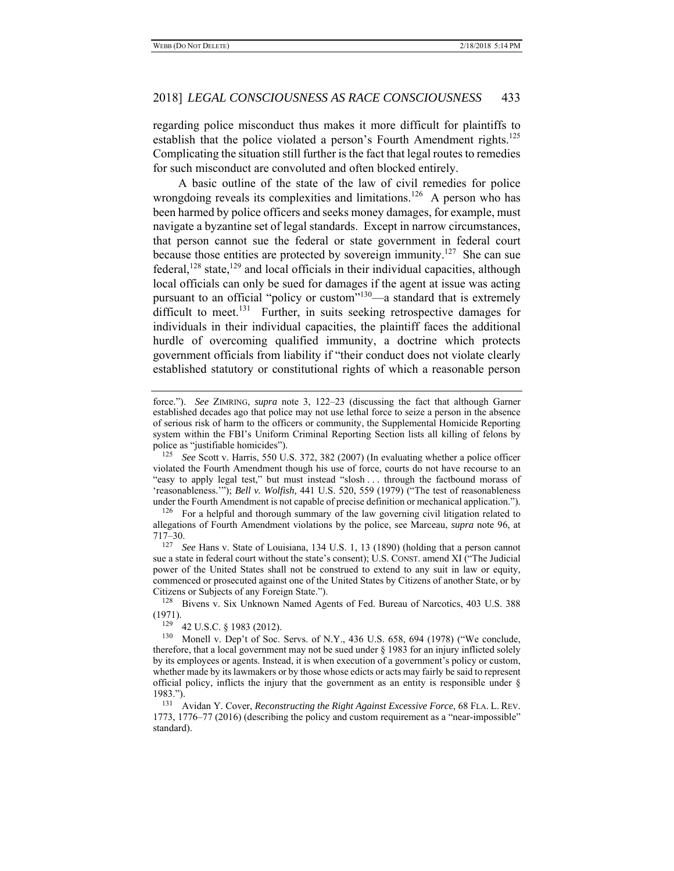regarding police misconduct thus makes it more difficult for plaintiffs to establish that the police violated a person's Fourth Amendment rights.<sup>125</sup> Complicating the situation still further is the fact that legal routes to remedies for such misconduct are convoluted and often blocked entirely.

A basic outline of the state of the law of civil remedies for police wrongdoing reveals its complexities and limitations.<sup>126</sup> A person who has been harmed by police officers and seeks money damages, for example, must navigate a byzantine set of legal standards. Except in narrow circumstances, that person cannot sue the federal or state government in federal court because those entities are protected by sovereign immunity.<sup>127</sup> She can sue federal,<sup>128</sup> state,<sup>129</sup> and local officials in their individual capacities, although local officials can only be sued for damages if the agent at issue was acting pursuant to an official "policy or custom"<sup>130</sup>—a standard that is extremely difficult to meet.<sup>131</sup> Further, in suits seeking retrospective damages for individuals in their individual capacities, the plaintiff faces the additional hurdle of overcoming qualified immunity, a doctrine which protects government officials from liability if "their conduct does not violate clearly established statutory or constitutional rights of which a reasonable person

force."). *See* ZIMRING, *supra* note 3, 122–23 (discussing the fact that although Garner established decades ago that police may not use lethal force to seize a person in the absence of serious risk of harm to the officers or community, the Supplemental Homicide Reporting system within the FBI's Uniform Criminal Reporting Section lists all killing of felons by police as "justifiable homicides").

<sup>125</sup> *See* Scott v. Harris, 550 U.S. 372, 382 (2007) (In evaluating whether a police officer violated the Fourth Amendment though his use of force, courts do not have recourse to an "easy to apply legal test," but must instead "slosh . . . through the factbound morass of 'reasonableness.'"); *Bell v. Wolfish,* 441 U.S. 520, 559 (1979) ("The test of reasonableness under the Fourth Amendment is not capable of precise definition or mechanical application.").

<sup>126</sup> For a helpful and thorough summary of the law governing civil litigation related to allegations of Fourth Amendment violations by the police, see Marceau, *supra* note 96, at 717–30.

<sup>127</sup> *See* Hans v. State of Louisiana, 134 U.S. 1, 13 (1890) (holding that a person cannot sue a state in federal court without the state's consent); U.S. CONST. amend XI ("The Judicial power of the United States shall not be construed to extend to any suit in law or equity, commenced or prosecuted against one of the United States by Citizens of another State, or by Citizens or Subjects of any Foreign State.").

<sup>128</sup> Bivens v. Six Unknown Named Agents of Fed. Bureau of Narcotics, 403 U.S. 388  $(1971)$ .

 $^{129}$  42 U.S.C. § 1983 (2012).<br> $^{130}$  Monell v Den't of Soc.

Monell v. Dep't of Soc. Servs. of N.Y., 436 U.S. 658, 694 (1978) ("We conclude, therefore, that a local government may not be sued under § 1983 for an injury inflicted solely by its employees or agents. Instead, it is when execution of a government's policy or custom, whether made by its lawmakers or by those whose edicts or acts may fairly be said to represent official policy, inflicts the injury that the government as an entity is responsible under §  $\frac{1983.}{131}$ .

<sup>131</sup> Avidan Y. Cover, *Reconstructing the Right Against Excessive Force*, 68 FLA. L. REV. 1773, 1776–77 (2016) (describing the policy and custom requirement as a "near-impossible" standard).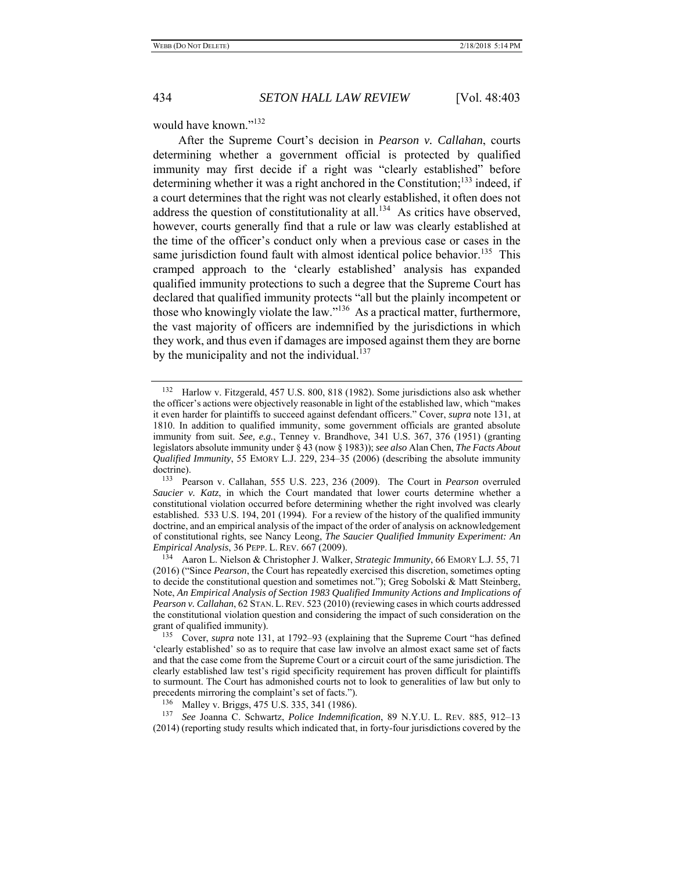would have known."<sup>132</sup>

After the Supreme Court's decision in *Pearson v. Callahan*, courts determining whether a government official is protected by qualified immunity may first decide if a right was "clearly established" before determining whether it was a right anchored in the Constitution;<sup>133</sup> indeed, if a court determines that the right was not clearly established, it often does not address the question of constitutionality at all.<sup>134</sup> As critics have observed, however, courts generally find that a rule or law was clearly established at the time of the officer's conduct only when a previous case or cases in the same jurisdiction found fault with almost identical police behavior.<sup>135</sup> This cramped approach to the 'clearly established' analysis has expanded qualified immunity protections to such a degree that the Supreme Court has declared that qualified immunity protects "all but the plainly incompetent or those who knowingly violate the law."136 As a practical matter, furthermore, the vast majority of officers are indemnified by the jurisdictions in which they work, and thus even if damages are imposed against them they are borne by the municipality and not the individual. $137$ 

<sup>132</sup> Harlow v. Fitzgerald, 457 U.S. 800, 818 (1982). Some jurisdictions also ask whether the officer's actions were objectively reasonable in light of the established law, which "makes it even harder for plaintiffs to succeed against defendant officers." Cover, *supra* note 131, at 1810. In addition to qualified immunity, some government officials are granted absolute immunity from suit. *See, e.g.*, Tenney v. Brandhove, 341 U.S. 367, 376 (1951) (granting legislators absolute immunity under § 43 (now § 1983)); *see also* Alan Chen, *The Facts About Qualified Immunity*, 55 EMORY L.J. 229, 234–35 (2006) (describing the absolute immunity doctrine).

<sup>133</sup> Pearson v. Callahan, 555 U.S. 223, 236 (2009). The Court in *Pearson* overruled *Saucier v. Katz*, in which the Court mandated that lower courts determine whether a constitutional violation occurred before determining whether the right involved was clearly established. 533 U.S. 194, 201 (1994). For a review of the history of the qualified immunity doctrine, and an empirical analysis of the impact of the order of analysis on acknowledgement of constitutional rights, see Nancy Leong, *The Saucier Qualified Immunity Experiment: An Empirical Analysis*, 36 PEPP. L. REV. 667 (2009).

<sup>134</sup> Aaron L. Nielson & Christopher J. Walker, *Strategic Immunity*, 66 EMORY L.J. 55, 71 (2016) ("Since *Pearson*, the Court has repeatedly exercised this discretion, sometimes opting to decide the constitutional question and sometimes not."); Greg Sobolski & Matt Steinberg, Note, *An Empirical Analysis of Section 1983 Qualified Immunity Actions and Implications of Pearson v. Callahan*, 62 STAN. L.REV. 523 (2010) (reviewing cases in which courts addressed the constitutional violation question and considering the impact of such consideration on the grant of qualified immunity).

<sup>135</sup> Cover, *supra* note 131, at 1792–93 (explaining that the Supreme Court "has defined 'clearly established' so as to require that case law involve an almost exact same set of facts and that the case come from the Supreme Court or a circuit court of the same jurisdiction. The clearly established law test's rigid specificity requirement has proven difficult for plaintiffs to surmount. The Court has admonished courts not to look to generalities of law but only to precedents mirroring the complaint's set of facts.").<br> $\frac{136}{136}$  Mollay v Briggs 475 U.S. 335, 341 (1986)

Malley v. Briggs, 475 U.S. 335, 341 (1986).

<sup>137</sup> *See* Joanna C. Schwartz, *Police Indemnification*, 89 N.Y.U. L. REV. 885, 912–13 (2014) (reporting study results which indicated that, in forty-four jurisdictions covered by the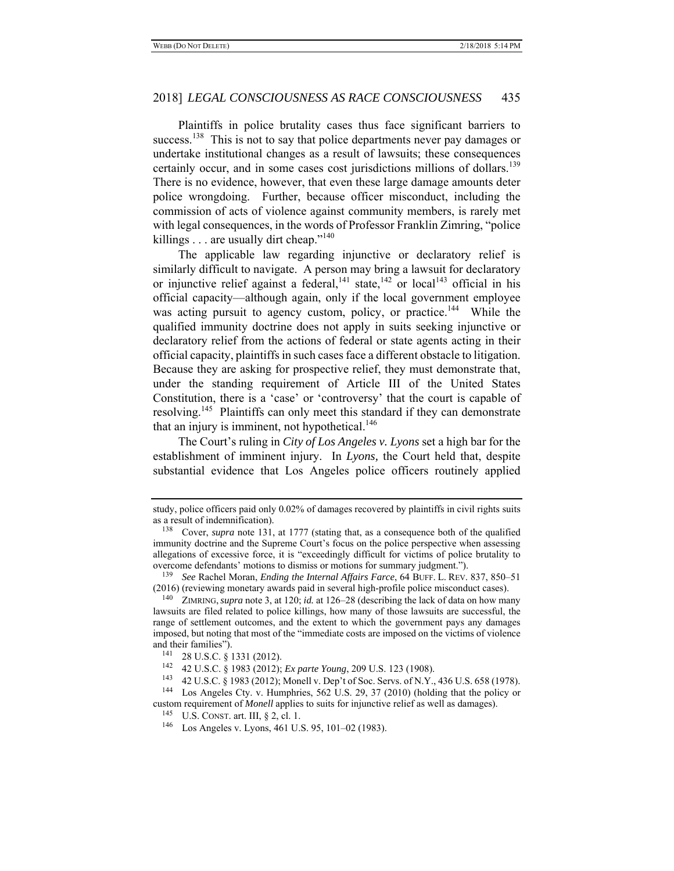Plaintiffs in police brutality cases thus face significant barriers to success.<sup>138</sup> This is not to say that police departments never pay damages or undertake institutional changes as a result of lawsuits; these consequences certainly occur, and in some cases cost jurisdictions millions of dollars.<sup>139</sup> There is no evidence, however, that even these large damage amounts deter police wrongdoing. Further, because officer misconduct, including the commission of acts of violence against community members, is rarely met with legal consequences, in the words of Professor Franklin Zimring, "police killings  $\dots$  are usually dirt cheap."<sup>140</sup>

The applicable law regarding injunctive or declaratory relief is similarly difficult to navigate. A person may bring a lawsuit for declaratory or injunctive relief against a federal,<sup>141</sup> state,<sup>142</sup> or local<sup>143</sup> official in his official capacity—although again, only if the local government employee was acting pursuit to agency custom, policy, or practice.<sup>144</sup> While the qualified immunity doctrine does not apply in suits seeking injunctive or declaratory relief from the actions of federal or state agents acting in their official capacity, plaintiffs in such cases face a different obstacle to litigation. Because they are asking for prospective relief, they must demonstrate that, under the standing requirement of Article III of the United States Constitution, there is a 'case' or 'controversy' that the court is capable of resolving.<sup>145</sup> Plaintiffs can only meet this standard if they can demonstrate that an injury is imminent, not hypothetical. $146$ 

The Court's ruling in *City of Los Angeles v. Lyons* set a high bar for the establishment of imminent injury. In *Lyons,* the Court held that, despite substantial evidence that Los Angeles police officers routinely applied

139 *See* Rachel Moran, *Ending the Internal Affairs Farce*, 64 BUFF. L. REV. 837, 850–51 (2016) (reviewing monetary awards paid in several high-profile police misconduct cases).

study, police officers paid only 0.02% of damages recovered by plaintiffs in civil rights suits as a result of indemnification).

<sup>138</sup> Cover, *supra* note 131, at 1777 (stating that, as a consequence both of the qualified immunity doctrine and the Supreme Court's focus on the police perspective when assessing allegations of excessive force, it is "exceedingly difficult for victims of police brutality to overcome defendants' motions to dismiss or motions for summary judgment.").

ZIMRING, *supra* note 3, at 120; *id.* at 126–28 (describing the lack of data on how many lawsuits are filed related to police killings, how many of those lawsuits are successful, the range of settlement outcomes, and the extent to which the government pays any damages imposed, but noting that most of the "immediate costs are imposed on the victims of violence and their families"). 141 28 U.S.C. § 1331 (2012). 142 42 U.S.C. § 1983 (2012); *Ex parte Young*, 209 U.S. 123 (1908).

<sup>&</sup>lt;sup>143</sup> 42 U.S.C. § 1983 (2012); Monell v. Dep't of Soc. Servs. of N.Y., 436 U.S. 658 (1978). <sup>144</sup> Los Angeles Cty. v. Humphries, 562 U.S. 29, 37 (2010) (holding that the policy or

custom requirement of *Monell* applies to suits for injunctive relief as well as damages).

<sup>145</sup> U.S. CONST. art. III, § 2, cl. 1.

<sup>146</sup> Los Angeles v. Lyons, 461 U.S. 95, 101–02 (1983).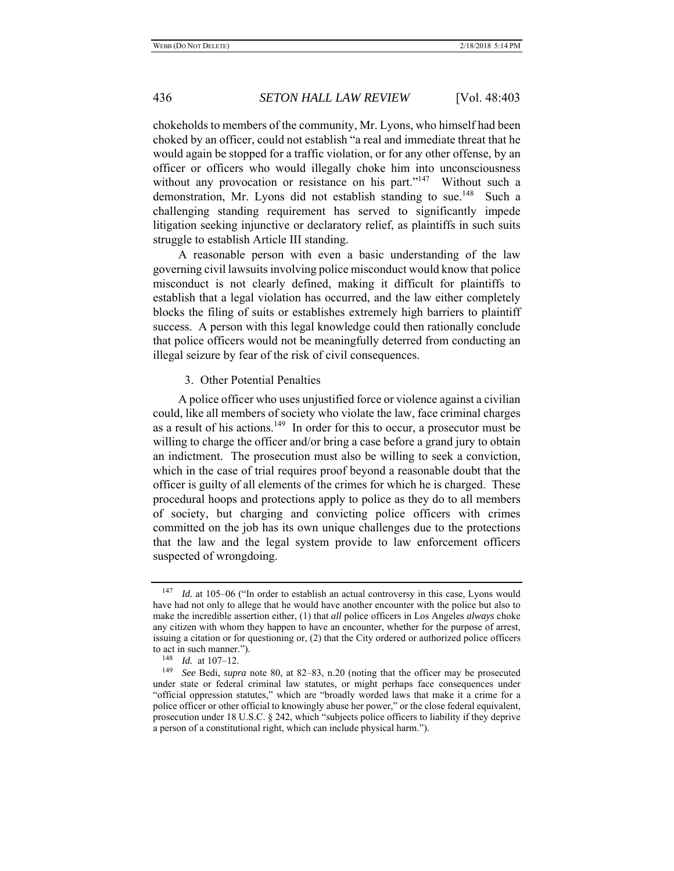chokeholds to members of the community, Mr. Lyons, who himself had been choked by an officer, could not establish "a real and immediate threat that he would again be stopped for a traffic violation, or for any other offense, by an officer or officers who would illegally choke him into unconsciousness without any provocation or resistance on his part."<sup>147</sup> Without such a demonstration, Mr. Lyons did not establish standing to sue.<sup>148</sup> Such a challenging standing requirement has served to significantly impede litigation seeking injunctive or declaratory relief, as plaintiffs in such suits struggle to establish Article III standing.

A reasonable person with even a basic understanding of the law governing civil lawsuits involving police misconduct would know that police misconduct is not clearly defined, making it difficult for plaintiffs to establish that a legal violation has occurred, and the law either completely blocks the filing of suits or establishes extremely high barriers to plaintiff success. A person with this legal knowledge could then rationally conclude that police officers would not be meaningfully deterred from conducting an illegal seizure by fear of the risk of civil consequences.

### 3. Other Potential Penalties

A police officer who uses unjustified force or violence against a civilian could, like all members of society who violate the law, face criminal charges as a result of his actions.<sup>149</sup> In order for this to occur, a prosecutor must be willing to charge the officer and/or bring a case before a grand jury to obtain an indictment. The prosecution must also be willing to seek a conviction, which in the case of trial requires proof beyond a reasonable doubt that the officer is guilty of all elements of the crimes for which he is charged. These procedural hoops and protections apply to police as they do to all members of society, but charging and convicting police officers with crimes committed on the job has its own unique challenges due to the protections that the law and the legal system provide to law enforcement officers suspected of wrongdoing.

<sup>147</sup> *Id.* at 105–06 ("In order to establish an actual controversy in this case, Lyons would have had not only to allege that he would have another encounter with the police but also to make the incredible assertion either, (1) that *all* police officers in Los Angeles *always* choke any citizen with whom they happen to have an encounter, whether for the purpose of arrest, issuing a citation or for questioning or, (2) that the City ordered or authorized police officers to act in such manner.").

<sup>&</sup>lt;sup>148</sup> *Id.* at 107–12.<br><sup>149</sup> See Bedi supp

<sup>149</sup> *See* Bedi, *supra* note 80, at 82–83, n.20 (noting that the officer may be prosecuted under state or federal criminal law statutes, or might perhaps face consequences under "official oppression statutes," which are "broadly worded laws that make it a crime for a police officer or other official to knowingly abuse her power," or the close federal equivalent, prosecution under 18 U.S.C. § 242, which "subjects police officers to liability if they deprive a person of a constitutional right, which can include physical harm.").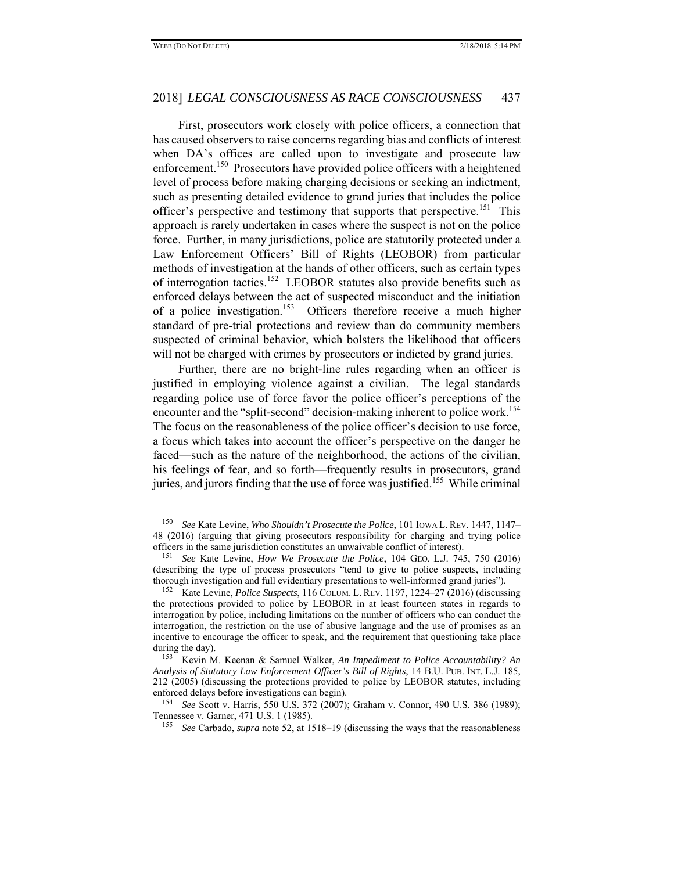First, prosecutors work closely with police officers, a connection that has caused observers to raise concerns regarding bias and conflicts of interest when DA's offices are called upon to investigate and prosecute law enforcement.<sup>150</sup> Prosecutors have provided police officers with a heightened level of process before making charging decisions or seeking an indictment, such as presenting detailed evidence to grand juries that includes the police officer's perspective and testimony that supports that perspective.<sup>151</sup> This approach is rarely undertaken in cases where the suspect is not on the police force. Further, in many jurisdictions, police are statutorily protected under a Law Enforcement Officers' Bill of Rights (LEOBOR) from particular methods of investigation at the hands of other officers, such as certain types of interrogation tactics.<sup>152</sup> LEOBOR statutes also provide benefits such as enforced delays between the act of suspected misconduct and the initiation of a police investigation.153 Officers therefore receive a much higher standard of pre-trial protections and review than do community members suspected of criminal behavior, which bolsters the likelihood that officers will not be charged with crimes by prosecutors or indicted by grand juries.

Further, there are no bright-line rules regarding when an officer is justified in employing violence against a civilian. The legal standards regarding police use of force favor the police officer's perceptions of the encounter and the "split-second" decision-making inherent to police work.<sup>154</sup> The focus on the reasonableness of the police officer's decision to use force, a focus which takes into account the officer's perspective on the danger he faced—such as the nature of the neighborhood, the actions of the civilian, his feelings of fear, and so forth—frequently results in prosecutors, grand juries, and jurors finding that the use of force was justified.<sup>155</sup> While criminal

<sup>150</sup> *See* Kate Levine, *Who Shouldn't Prosecute the Police*, 101 IOWA L. REV. 1447, 1147– 48 (2016) (arguing that giving prosecutors responsibility for charging and trying police officers in the same jurisdiction constitutes an unwaivable conflict of interest).

<sup>151</sup> *See* Kate Levine, *How We Prosecute the Police*, 104 GEO. L.J. 745, 750 (2016) (describing the type of process prosecutors "tend to give to police suspects, including thorough investigation and full evidentiary presentations to well-informed grand juries").

<sup>152</sup> Kate Levine, *Police Suspects*, 116 COLUM. L. REV. 1197, 1224–27 (2016) (discussing the protections provided to police by LEOBOR in at least fourteen states in regards to interrogation by police, including limitations on the number of officers who can conduct the interrogation, the restriction on the use of abusive language and the use of promises as an incentive to encourage the officer to speak, and the requirement that questioning take place during the day).

<sup>153</sup> Kevin M. Keenan & Samuel Walker, *An Impediment to Police Accountability? An Analysis of Statutory Law Enforcement Officer's Bill of Rights*, 14 B.U. PUB. INT. L.J. 185, 212 (2005) (discussing the protections provided to police by LEOBOR statutes, including enforced delays before investigations can begin).

<sup>154</sup> *See* Scott v. Harris, 550 U.S. 372 (2007); Graham v. Connor, 490 U.S. 386 (1989); Tennessee v. Garner, 471 U.S. 1 (1985).

See Carbado, *supra* note 52, at 1518–19 (discussing the ways that the reasonableness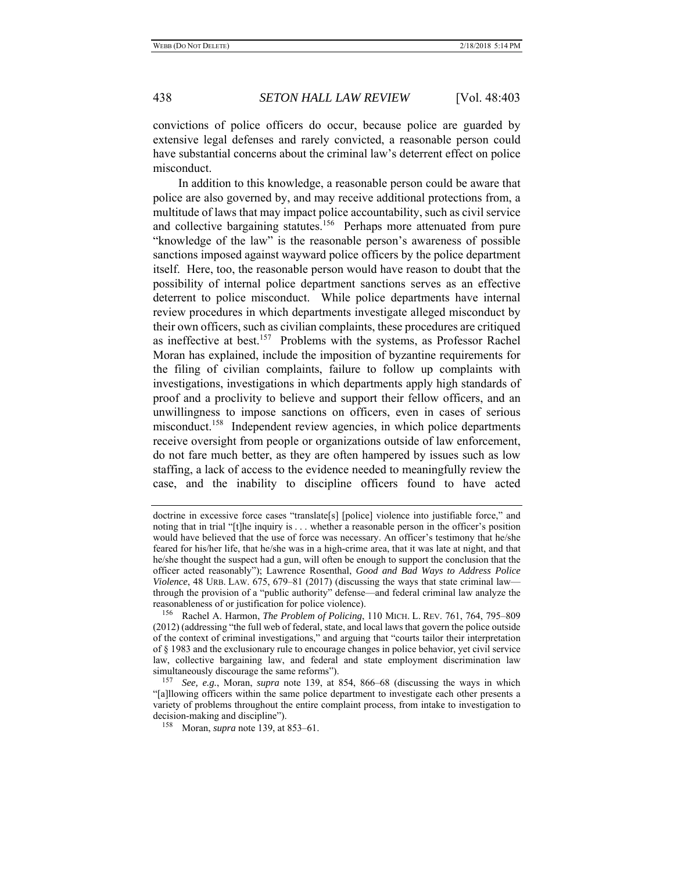convictions of police officers do occur, because police are guarded by extensive legal defenses and rarely convicted, a reasonable person could have substantial concerns about the criminal law's deterrent effect on police misconduct.

In addition to this knowledge, a reasonable person could be aware that police are also governed by, and may receive additional protections from, a multitude of laws that may impact police accountability, such as civil service and collective bargaining statutes.<sup>156</sup> Perhaps more attenuated from pure "knowledge of the law" is the reasonable person's awareness of possible sanctions imposed against wayward police officers by the police department itself. Here, too, the reasonable person would have reason to doubt that the possibility of internal police department sanctions serves as an effective deterrent to police misconduct. While police departments have internal review procedures in which departments investigate alleged misconduct by their own officers, such as civilian complaints, these procedures are critiqued as ineffective at best.<sup>157</sup> Problems with the systems, as Professor Rachel Moran has explained, include the imposition of byzantine requirements for the filing of civilian complaints, failure to follow up complaints with investigations, investigations in which departments apply high standards of proof and a proclivity to believe and support their fellow officers, and an unwillingness to impose sanctions on officers, even in cases of serious misconduct.<sup>158</sup> Independent review agencies, in which police departments receive oversight from people or organizations outside of law enforcement, do not fare much better, as they are often hampered by issues such as low staffing, a lack of access to the evidence needed to meaningfully review the case, and the inability to discipline officers found to have acted

doctrine in excessive force cases "translate[s] [police] violence into justifiable force," and noting that in trial "[t]he inquiry is . . . whether a reasonable person in the officer's position would have believed that the use of force was necessary. An officer's testimony that he/she feared for his/her life, that he/she was in a high-crime area, that it was late at night, and that he/she thought the suspect had a gun, will often be enough to support the conclusion that the officer acted reasonably"); Lawrence Rosenthal, *Good and Bad Ways to Address Police Violence*, 48 URB. LAW. 675, 679–81 (2017) (discussing the ways that state criminal law through the provision of a "public authority" defense—and federal criminal law analyze the reasonableness of or justification for police violence).

<sup>156</sup> Rachel A. Harmon, *The Problem of Policing*, 110 MICH. L. REV. 761, 764, 795–809 (2012) (addressing "the full web of federal, state, and local laws that govern the police outside of the context of criminal investigations," and arguing that "courts tailor their interpretation of § 1983 and the exclusionary rule to encourage changes in police behavior, yet civil service law, collective bargaining law, and federal and state employment discrimination law simultaneously discourage the same reforms").

<sup>157</sup> *See, e.g.*, Moran, *supra* note 139, at 854, 866–68 (discussing the ways in which "[a]llowing officers within the same police department to investigate each other presents a variety of problems throughout the entire complaint process, from intake to investigation to decision-making and discipline").

<sup>158</sup> Moran, *supra* note 139, at 853–61.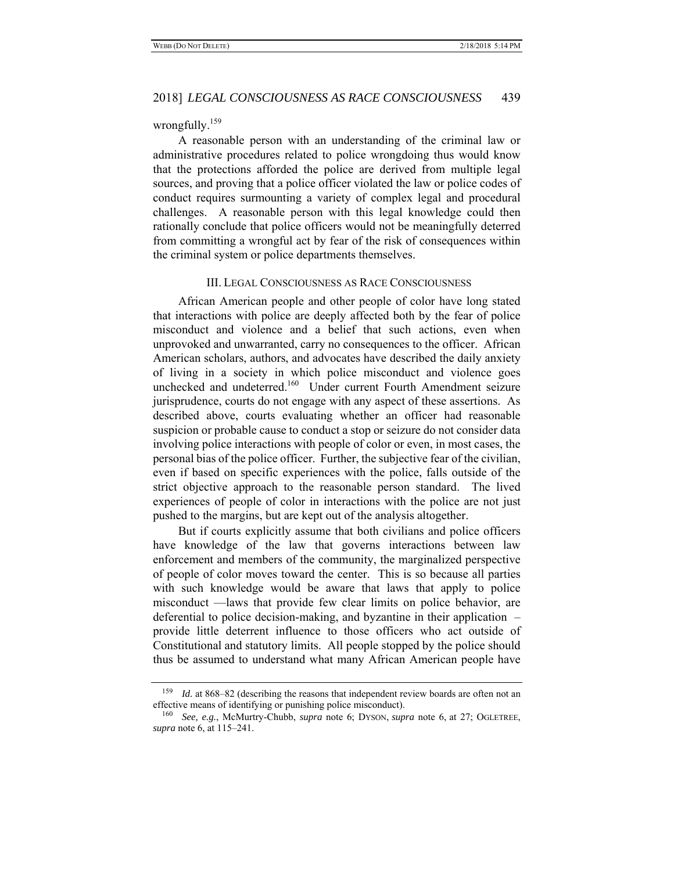#### wrongfully.<sup>159</sup>

A reasonable person with an understanding of the criminal law or administrative procedures related to police wrongdoing thus would know that the protections afforded the police are derived from multiple legal sources, and proving that a police officer violated the law or police codes of conduct requires surmounting a variety of complex legal and procedural challenges. A reasonable person with this legal knowledge could then rationally conclude that police officers would not be meaningfully deterred from committing a wrongful act by fear of the risk of consequences within the criminal system or police departments themselves.

### III. LEGAL CONSCIOUSNESS AS RACE CONSCIOUSNESS

African American people and other people of color have long stated that interactions with police are deeply affected both by the fear of police misconduct and violence and a belief that such actions, even when unprovoked and unwarranted, carry no consequences to the officer. African American scholars, authors, and advocates have described the daily anxiety of living in a society in which police misconduct and violence goes unchecked and undeterred.<sup>160</sup> Under current Fourth Amendment seizure jurisprudence, courts do not engage with any aspect of these assertions. As described above, courts evaluating whether an officer had reasonable suspicion or probable cause to conduct a stop or seizure do not consider data involving police interactions with people of color or even, in most cases, the personal bias of the police officer. Further, the subjective fear of the civilian, even if based on specific experiences with the police, falls outside of the strict objective approach to the reasonable person standard. The lived experiences of people of color in interactions with the police are not just pushed to the margins, but are kept out of the analysis altogether.

But if courts explicitly assume that both civilians and police officers have knowledge of the law that governs interactions between law enforcement and members of the community, the marginalized perspective of people of color moves toward the center. This is so because all parties with such knowledge would be aware that laws that apply to police misconduct —laws that provide few clear limits on police behavior, are deferential to police decision-making, and byzantine in their application – provide little deterrent influence to those officers who act outside of Constitutional and statutory limits. All people stopped by the police should thus be assumed to understand what many African American people have

<sup>159</sup> *Id.* at 868–82 (describing the reasons that independent review boards are often not an effective means of identifying or punishing police misconduct). 160 *See, e.g.*, McMurtry-Chubb, *supra* note 6; DYSON, *supra* note 6, at 27; OGLETREE,

*supra* note 6, at 115–241.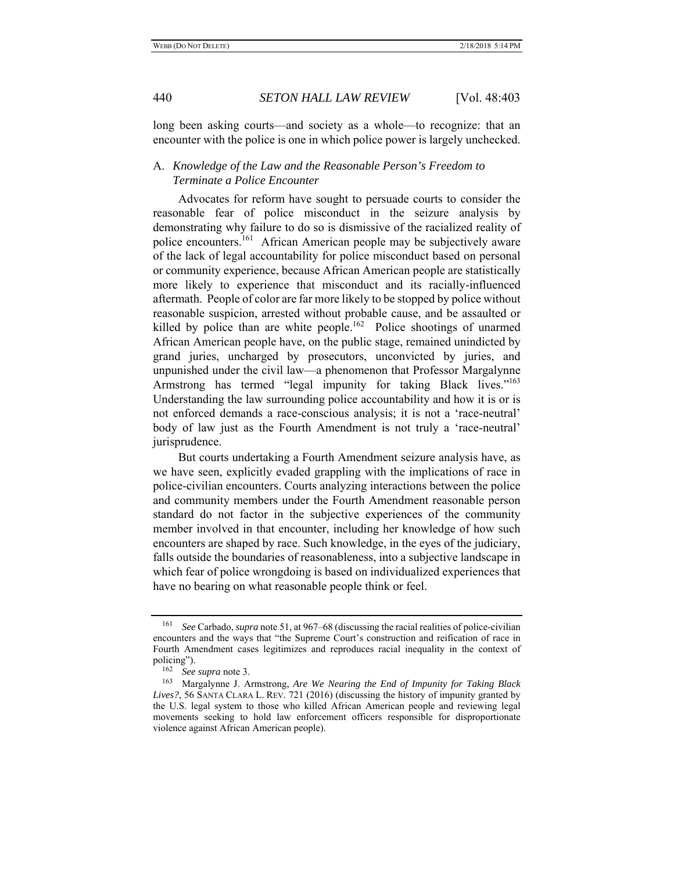long been asking courts—and society as a whole—to recognize: that an encounter with the police is one in which police power is largely unchecked.

## A. *Knowledge of the Law and the Reasonable Person's Freedom to Terminate a Police Encounter*

Advocates for reform have sought to persuade courts to consider the reasonable fear of police misconduct in the seizure analysis by demonstrating why failure to do so is dismissive of the racialized reality of police encounters.<sup>161</sup> African American people may be subjectively aware of the lack of legal accountability for police misconduct based on personal or community experience, because African American people are statistically more likely to experience that misconduct and its racially-influenced aftermath. People of color are far more likely to be stopped by police without reasonable suspicion, arrested without probable cause, and be assaulted or killed by police than are white people.<sup>162</sup> Police shootings of unarmed African American people have, on the public stage, remained unindicted by grand juries, uncharged by prosecutors, unconvicted by juries, and unpunished under the civil law—a phenomenon that Professor Margalynne Armstrong has termed "legal impunity for taking Black lives."<sup>163</sup> Understanding the law surrounding police accountability and how it is or is not enforced demands a race-conscious analysis; it is not a 'race-neutral' body of law just as the Fourth Amendment is not truly a 'race-neutral' jurisprudence.

But courts undertaking a Fourth Amendment seizure analysis have, as we have seen, explicitly evaded grappling with the implications of race in police-civilian encounters. Courts analyzing interactions between the police and community members under the Fourth Amendment reasonable person standard do not factor in the subjective experiences of the community member involved in that encounter, including her knowledge of how such encounters are shaped by race. Such knowledge, in the eyes of the judiciary, falls outside the boundaries of reasonableness, into a subjective landscape in which fear of police wrongdoing is based on individualized experiences that have no bearing on what reasonable people think or feel.

<sup>161</sup> *See* Carbado, *supra* note 51, at 967–68 (discussing the racial realities of police-civilian encounters and the ways that "the Supreme Court's construction and reification of race in Fourth Amendment cases legitimizes and reproduces racial inequality in the context of policing").

See supra note 3.

<sup>163</sup> Margalynne J. Armstrong, *Are We Nearing the End of Impunity for Taking Black Lives?*, 56 SANTA CLARA L. REV. 721 (2016) (discussing the history of impunity granted by the U.S. legal system to those who killed African American people and reviewing legal movements seeking to hold law enforcement officers responsible for disproportionate violence against African American people).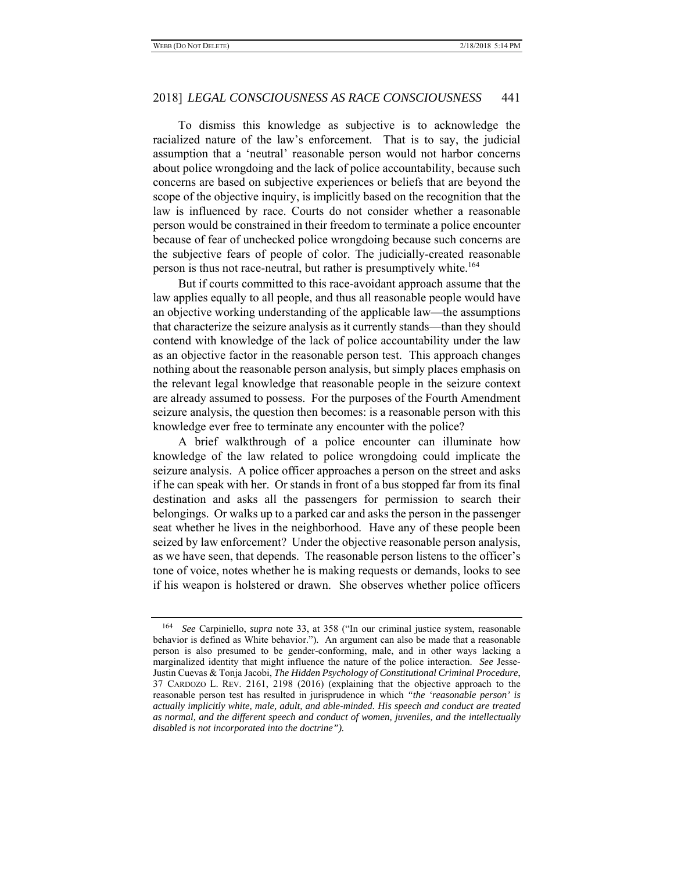To dismiss this knowledge as subjective is to acknowledge the racialized nature of the law's enforcement. That is to say, the judicial assumption that a 'neutral' reasonable person would not harbor concerns about police wrongdoing and the lack of police accountability, because such concerns are based on subjective experiences or beliefs that are beyond the scope of the objective inquiry, is implicitly based on the recognition that the law is influenced by race. Courts do not consider whether a reasonable person would be constrained in their freedom to terminate a police encounter because of fear of unchecked police wrongdoing because such concerns are the subjective fears of people of color. The judicially-created reasonable person is thus not race-neutral, but rather is presumptively white.<sup>164</sup>

But if courts committed to this race-avoidant approach assume that the law applies equally to all people, and thus all reasonable people would have an objective working understanding of the applicable law—the assumptions that characterize the seizure analysis as it currently stands—than they should contend with knowledge of the lack of police accountability under the law as an objective factor in the reasonable person test. This approach changes nothing about the reasonable person analysis, but simply places emphasis on the relevant legal knowledge that reasonable people in the seizure context are already assumed to possess. For the purposes of the Fourth Amendment seizure analysis, the question then becomes: is a reasonable person with this knowledge ever free to terminate any encounter with the police?

A brief walkthrough of a police encounter can illuminate how knowledge of the law related to police wrongdoing could implicate the seizure analysis. A police officer approaches a person on the street and asks if he can speak with her. Or stands in front of a bus stopped far from its final destination and asks all the passengers for permission to search their belongings. Or walks up to a parked car and asks the person in the passenger seat whether he lives in the neighborhood. Have any of these people been seized by law enforcement? Under the objective reasonable person analysis, as we have seen, that depends. The reasonable person listens to the officer's tone of voice, notes whether he is making requests or demands, looks to see if his weapon is holstered or drawn. She observes whether police officers

<sup>164</sup> *See* Carpiniello, *supra* note 33, at 358 ("In our criminal justice system, reasonable behavior is defined as White behavior."). An argument can also be made that a reasonable person is also presumed to be gender-conforming, male, and in other ways lacking a marginalized identity that might influence the nature of the police interaction. *See* Jesse-Justin Cuevas & Tonja Jacobi, *The Hidden Psychology of Constitutional Criminal Procedure*, 37 CARDOZO L. REV. 2161, 2198 (2016) (explaining that the objective approach to the reasonable person test has resulted in jurisprudence in which *"the 'reasonable person' is actually implicitly white, male, adult, and able-minded. His speech and conduct are treated as normal, and the different speech and conduct of women, juveniles, and the intellectually disabled is not incorporated into the doctrine").*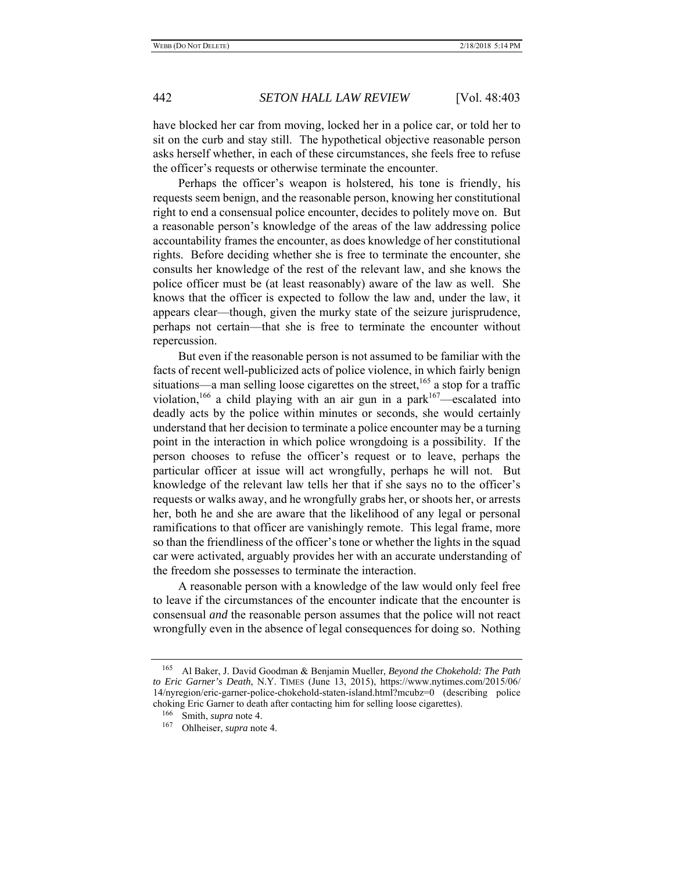have blocked her car from moving, locked her in a police car, or told her to sit on the curb and stay still. The hypothetical objective reasonable person asks herself whether, in each of these circumstances, she feels free to refuse the officer's requests or otherwise terminate the encounter.

Perhaps the officer's weapon is holstered, his tone is friendly, his requests seem benign, and the reasonable person, knowing her constitutional right to end a consensual police encounter, decides to politely move on. But a reasonable person's knowledge of the areas of the law addressing police accountability frames the encounter, as does knowledge of her constitutional rights. Before deciding whether she is free to terminate the encounter, she consults her knowledge of the rest of the relevant law, and she knows the police officer must be (at least reasonably) aware of the law as well. She knows that the officer is expected to follow the law and, under the law, it appears clear—though, given the murky state of the seizure jurisprudence, perhaps not certain—that she is free to terminate the encounter without repercussion.

But even if the reasonable person is not assumed to be familiar with the facts of recent well-publicized acts of police violence, in which fairly benign situations—a man selling loose cigarettes on the street,  $^{165}$  a stop for a traffic violation,<sup>166</sup> a child playing with an air gun in a park<sup>167</sup>—escalated into deadly acts by the police within minutes or seconds, she would certainly understand that her decision to terminate a police encounter may be a turning point in the interaction in which police wrongdoing is a possibility. If the person chooses to refuse the officer's request or to leave, perhaps the particular officer at issue will act wrongfully, perhaps he will not. But knowledge of the relevant law tells her that if she says no to the officer's requests or walks away, and he wrongfully grabs her, or shoots her, or arrests her, both he and she are aware that the likelihood of any legal or personal ramifications to that officer are vanishingly remote. This legal frame, more so than the friendliness of the officer's tone or whether the lights in the squad car were activated, arguably provides her with an accurate understanding of the freedom she possesses to terminate the interaction.

A reasonable person with a knowledge of the law would only feel free to leave if the circumstances of the encounter indicate that the encounter is consensual *and* the reasonable person assumes that the police will not react wrongfully even in the absence of legal consequences for doing so. Nothing

<sup>165</sup> Al Baker, J. David Goodman & Benjamin Mueller, *Beyond the Chokehold: The Path to Eric Garner's Death*, N.Y. TIMES (June 13, 2015), https://www.nytimes.com/2015/06/ 14/nyregion/eric-garner-police-chokehold-staten-island.html?mcubz=0 (describing police choking Eric Garner to death after contacting him for selling loose cigarettes).

<sup>&</sup>lt;sup>166</sup> Smith, *supra* note 4.<br><sup>167</sup> Oblbeiser, *supra* not

Ohlheiser, *supra* note 4.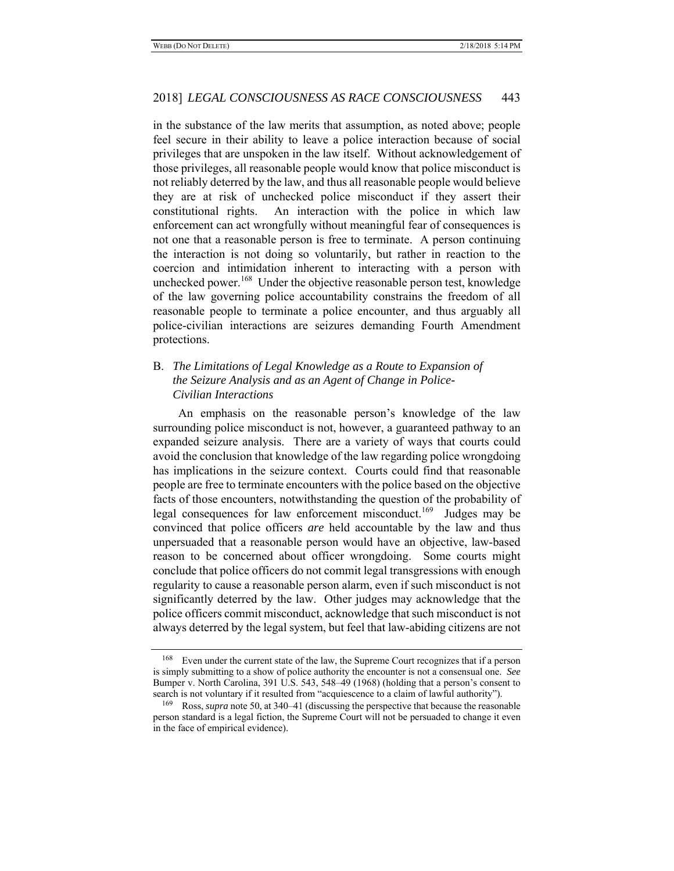in the substance of the law merits that assumption, as noted above; people feel secure in their ability to leave a police interaction because of social privileges that are unspoken in the law itself. Without acknowledgement of those privileges, all reasonable people would know that police misconduct is not reliably deterred by the law, and thus all reasonable people would believe they are at risk of unchecked police misconduct if they assert their constitutional rights. An interaction with the police in which law enforcement can act wrongfully without meaningful fear of consequences is not one that a reasonable person is free to terminate. A person continuing the interaction is not doing so voluntarily, but rather in reaction to the coercion and intimidation inherent to interacting with a person with unchecked power.<sup>168</sup> Under the objective reasonable person test, knowledge of the law governing police accountability constrains the freedom of all reasonable people to terminate a police encounter, and thus arguably all police-civilian interactions are seizures demanding Fourth Amendment protections.

## B. *The Limitations of Legal Knowledge as a Route to Expansion of the Seizure Analysis and as an Agent of Change in Police-Civilian Interactions*

An emphasis on the reasonable person's knowledge of the law surrounding police misconduct is not, however, a guaranteed pathway to an expanded seizure analysis. There are a variety of ways that courts could avoid the conclusion that knowledge of the law regarding police wrongdoing has implications in the seizure context. Courts could find that reasonable people are free to terminate encounters with the police based on the objective facts of those encounters, notwithstanding the question of the probability of legal consequences for law enforcement misconduct.<sup>169</sup> Judges may be convinced that police officers *are* held accountable by the law and thus unpersuaded that a reasonable person would have an objective, law-based reason to be concerned about officer wrongdoing. Some courts might conclude that police officers do not commit legal transgressions with enough regularity to cause a reasonable person alarm, even if such misconduct is not significantly deterred by the law. Other judges may acknowledge that the police officers commit misconduct, acknowledge that such misconduct is not always deterred by the legal system, but feel that law-abiding citizens are not

<sup>&</sup>lt;sup>168</sup> Even under the current state of the law, the Supreme Court recognizes that if a person is simply submitting to a show of police authority the encounter is not a consensual one. *See* Bumper v. North Carolina, 391 U.S. 543, 548–49 (1968) (holding that a person's consent to search is not voluntary if it resulted from "acquiescence to a claim of lawful authority").

<sup>169</sup> Ross, *supra* note 50, at 340–41 (discussing the perspective that because the reasonable person standard is a legal fiction, the Supreme Court will not be persuaded to change it even in the face of empirical evidence).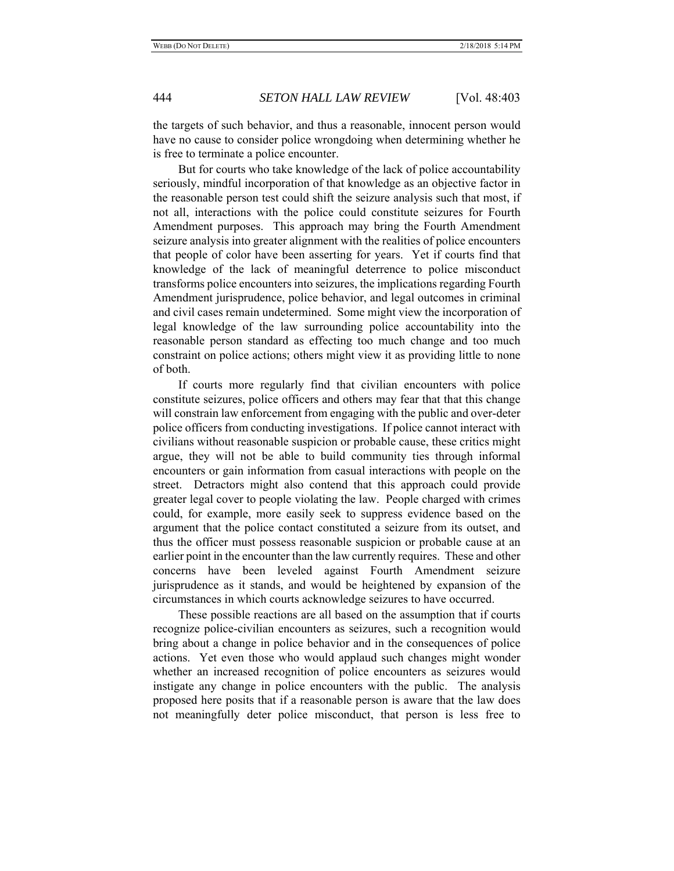the targets of such behavior, and thus a reasonable, innocent person would have no cause to consider police wrongdoing when determining whether he is free to terminate a police encounter.

But for courts who take knowledge of the lack of police accountability seriously, mindful incorporation of that knowledge as an objective factor in the reasonable person test could shift the seizure analysis such that most, if not all, interactions with the police could constitute seizures for Fourth Amendment purposes. This approach may bring the Fourth Amendment seizure analysis into greater alignment with the realities of police encounters that people of color have been asserting for years. Yet if courts find that knowledge of the lack of meaningful deterrence to police misconduct transforms police encounters into seizures, the implications regarding Fourth Amendment jurisprudence, police behavior, and legal outcomes in criminal and civil cases remain undetermined. Some might view the incorporation of legal knowledge of the law surrounding police accountability into the reasonable person standard as effecting too much change and too much constraint on police actions; others might view it as providing little to none of both.

If courts more regularly find that civilian encounters with police constitute seizures, police officers and others may fear that that this change will constrain law enforcement from engaging with the public and over-deter police officers from conducting investigations. If police cannot interact with civilians without reasonable suspicion or probable cause, these critics might argue, they will not be able to build community ties through informal encounters or gain information from casual interactions with people on the street. Detractors might also contend that this approach could provide greater legal cover to people violating the law. People charged with crimes could, for example, more easily seek to suppress evidence based on the argument that the police contact constituted a seizure from its outset, and thus the officer must possess reasonable suspicion or probable cause at an earlier point in the encounter than the law currently requires. These and other concerns have been leveled against Fourth Amendment seizure jurisprudence as it stands, and would be heightened by expansion of the circumstances in which courts acknowledge seizures to have occurred.

These possible reactions are all based on the assumption that if courts recognize police-civilian encounters as seizures, such a recognition would bring about a change in police behavior and in the consequences of police actions. Yet even those who would applaud such changes might wonder whether an increased recognition of police encounters as seizures would instigate any change in police encounters with the public. The analysis proposed here posits that if a reasonable person is aware that the law does not meaningfully deter police misconduct, that person is less free to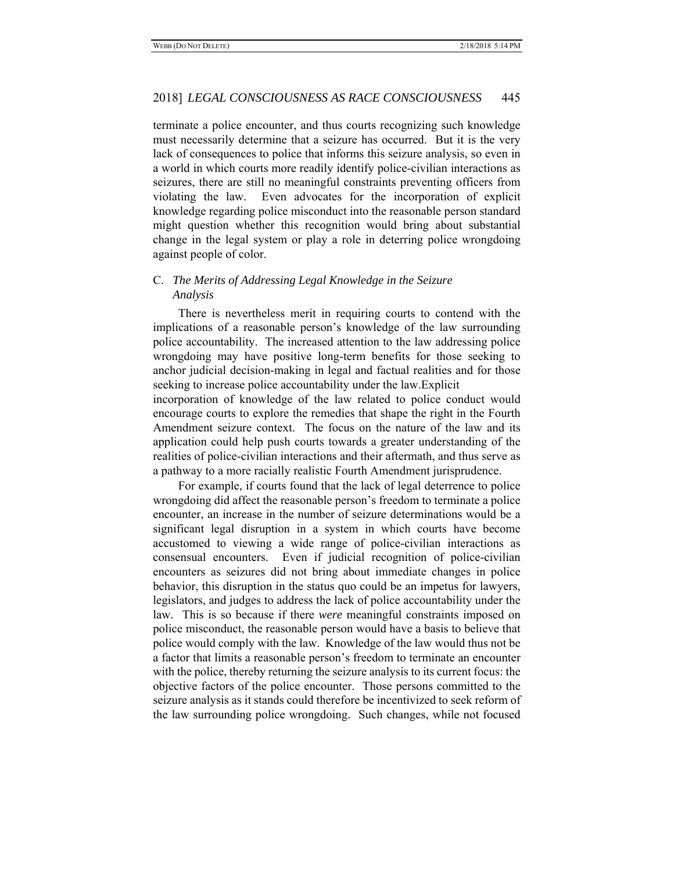terminate a police encounter, and thus courts recognizing such knowledge must necessarily determine that a seizure has occurred. But it is the very lack of consequences to police that informs this seizure analysis, so even in a world in which courts more readily identify police-civilian interactions as seizures, there are still no meaningful constraints preventing officers from violating the law. Even advocates for the incorporation of explicit knowledge regarding police misconduct into the reasonable person standard might question whether this recognition would bring about substantial change in the legal system or play a role in deterring police wrongdoing against people of color.

## C. *The Merits of Addressing Legal Knowledge in the Seizure Analysis*

There is nevertheless merit in requiring courts to contend with the implications of a reasonable person's knowledge of the law surrounding police accountability. The increased attention to the law addressing police wrongdoing may have positive long-term benefits for those seeking to anchor judicial decision-making in legal and factual realities and for those seeking to increase police accountability under the law.Explicit incorporation of knowledge of the law related to police conduct would encourage courts to explore the remedies that shape the right in the Fourth Amendment seizure context. The focus on the nature of the law and its application could help push courts towards a greater understanding of the realities of police-civilian interactions and their aftermath, and thus serve as

a pathway to a more racially realistic Fourth Amendment jurisprudence.

For example, if courts found that the lack of legal deterrence to police wrongdoing did affect the reasonable person's freedom to terminate a police encounter, an increase in the number of seizure determinations would be a significant legal disruption in a system in which courts have become accustomed to viewing a wide range of police-civilian interactions as consensual encounters. Even if judicial recognition of police-civilian encounters as seizures did not bring about immediate changes in police behavior, this disruption in the status quo could be an impetus for lawyers, legislators, and judges to address the lack of police accountability under the law. This is so because if there *were* meaningful constraints imposed on police misconduct, the reasonable person would have a basis to believe that police would comply with the law. Knowledge of the law would thus not be a factor that limits a reasonable person's freedom to terminate an encounter with the police, thereby returning the seizure analysis to its current focus: the objective factors of the police encounter. Those persons committed to the seizure analysis as it stands could therefore be incentivized to seek reform of the law surrounding police wrongdoing. Such changes, while not focused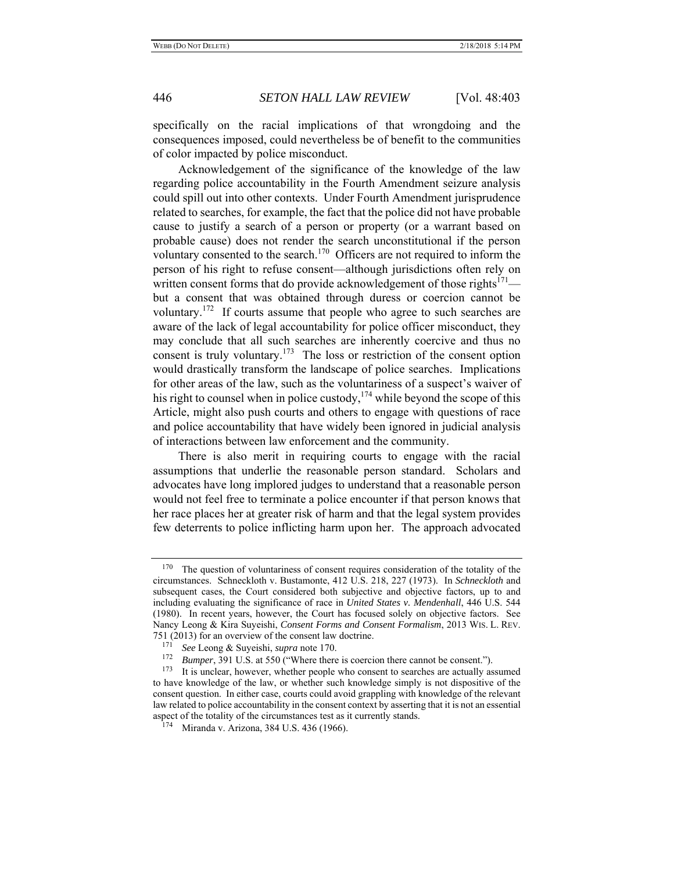specifically on the racial implications of that wrongdoing and the consequences imposed, could nevertheless be of benefit to the communities of color impacted by police misconduct.

Acknowledgement of the significance of the knowledge of the law regarding police accountability in the Fourth Amendment seizure analysis could spill out into other contexts. Under Fourth Amendment jurisprudence related to searches, for example, the fact that the police did not have probable cause to justify a search of a person or property (or a warrant based on probable cause) does not render the search unconstitutional if the person voluntary consented to the search.<sup>170</sup> Officers are not required to inform the person of his right to refuse consent—although jurisdictions often rely on written consent forms that do provide acknowledgement of those rights<sup>171</sup> but a consent that was obtained through duress or coercion cannot be voluntary.<sup>172</sup> If courts assume that people who agree to such searches are aware of the lack of legal accountability for police officer misconduct, they may conclude that all such searches are inherently coercive and thus no consent is truly voluntary.<sup>173</sup> The loss or restriction of the consent option would drastically transform the landscape of police searches. Implications for other areas of the law, such as the voluntariness of a suspect's waiver of his right to counsel when in police custody,  $174$  while beyond the scope of this Article, might also push courts and others to engage with questions of race and police accountability that have widely been ignored in judicial analysis of interactions between law enforcement and the community.

There is also merit in requiring courts to engage with the racial assumptions that underlie the reasonable person standard. Scholars and advocates have long implored judges to understand that a reasonable person would not feel free to terminate a police encounter if that person knows that her race places her at greater risk of harm and that the legal system provides few deterrents to police inflicting harm upon her. The approach advocated

<sup>&</sup>lt;sup>170</sup> The question of voluntariness of consent requires consideration of the totality of the circumstances. Schneckloth v. Bustamonte, 412 U.S. 218, 227 (1973). In *Schneckloth* and subsequent cases, the Court considered both subjective and objective factors, up to and including evaluating the significance of race in *United States v. Mendenhall*, 446 U.S. 544 (1980). In recent years, however, the Court has focused solely on objective factors. See Nancy Leong & Kira Suyeishi, *Consent Forms and Consent Formalism*, 2013 WIS. L. REV. 751 (2013) for an overview of the consent law doctrine.<br> $\frac{171}{17}$  See Legge & Sympicki, gunus note 170.

<sup>171</sup> *See* Leong & Suyeishi, *supra* note 170.

<sup>&</sup>lt;sup>172</sup> *Bumper*, 391 U.S. at 550 ("Where there is coercion there cannot be consent.").<br><sup>173</sup> It is unclear, however, whether people who consent to searches are actually as

It is unclear, however, whether people who consent to searches are actually assumed to have knowledge of the law, or whether such knowledge simply is not dispositive of the consent question. In either case, courts could avoid grappling with knowledge of the relevant law related to police accountability in the consent context by asserting that it is not an essential aspect of the totality of the circumstances test as it currently stands.

<sup>&</sup>lt;sup>174</sup> Miranda v. Arizona, 384 U.S. 436 (1966).